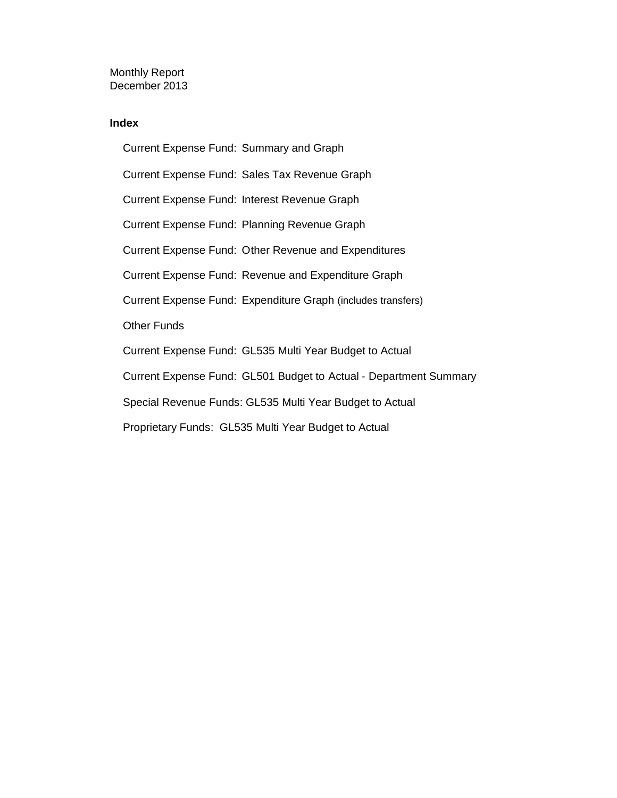Monthly Report December 2013

#### **Index**

Current Expense Fund: Summary and Graph Current Expense Fund: Sales Tax Revenue Graph Current Expense Fund: Interest Revenue Graph Current Expense Fund: Planning Revenue Graph Current Expense Fund: Other Revenue and Expenditures Current Expense Fund: Revenue and Expenditure Graph Current Expense Fund: Expenditure Graph (includes transfers) Other Funds Current Expense Fund: GL535 Multi Year Budget to Actual Current Expense Fund: GL501 Budget to Actual - Department Summary Special Revenue Funds: GL535 Multi Year Budget to Actual Proprietary Funds: GL535 Multi Year Budget to Actual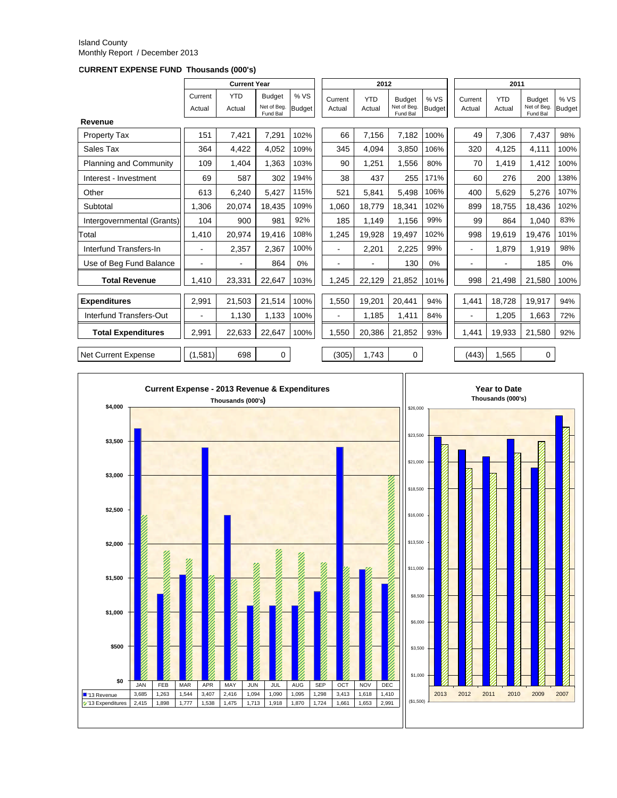#### Island County Monthly Report / December 2013

**CURRENT EXPENSE FUND Thousands (000's)**

|                            |                   | <b>Current Year</b>  |                                          |                      |                          | 2012                 |                                         |                       |                   | 2011                 |                                          |                       |  |
|----------------------------|-------------------|----------------------|------------------------------------------|----------------------|--------------------------|----------------------|-----------------------------------------|-----------------------|-------------------|----------------------|------------------------------------------|-----------------------|--|
|                            | Current<br>Actual | <b>YTD</b><br>Actual | <b>Budget</b><br>Net of Beg.<br>Fund Bal | %VS<br><b>Budget</b> | Current<br>Actual        | <b>YTD</b><br>Actual | <b>Budget</b><br>Net of Beg<br>Fund Bal | % VS<br><b>Budget</b> | Current<br>Actual | <b>YTD</b><br>Actual | <b>Budget</b><br>Net of Beg.<br>Fund Bal | % VS<br><b>Budget</b> |  |
| Revenue                    |                   |                      |                                          |                      |                          |                      |                                         |                       |                   |                      |                                          |                       |  |
| <b>Property Tax</b>        | 151               | 7,421                | 7,291                                    | 102%                 | 66                       | 7,156                | 7,182                                   | 100%                  | 49                | 7,306                | 7,437                                    | 98%                   |  |
| Sales Tax                  | 364               | 4.422                | 4.052                                    | 109%                 | 345                      | 4.094                | 3.850                                   | 106%                  | 320               | 4.125                | 4.111                                    | 100%                  |  |
| Planning and Community     | 109               | 1,404                | 1,363                                    | 103%                 | 90                       | 1,251                | 1,556                                   | 80%                   | 70                | 1,419                | 1,412                                    | 100%                  |  |
| Interest - Investment      | 69                | 587                  | 302                                      | 194%                 | 38                       | 437                  | 255                                     | 171%                  | 60                | 276                  | 200                                      | 138%                  |  |
| Other                      | 613               | 6,240                | 5,427                                    | 115%                 | 521                      | 5,841                | 5,498                                   | 106%                  | 400               | 5,629                | 5,276                                    | 107%                  |  |
| Subtotal                   | 1.306             | 20.074               | 18.435                                   | 109%                 | 1.060                    | 18.779               | 18.341                                  | 102%                  | 899               | 18.755               | 18.436                                   | 102%                  |  |
| Intergovernmental (Grants) | 104               | 900                  | 981                                      | 92%                  | 185                      | 1,149                | 1,156                                   | 99%                   | 99                | 864                  | 1.040                                    | 83%                   |  |
| Total                      | 1,410             | 20,974               | 19,416                                   | 108%                 | 1,245                    | 19.928               | 19,497                                  | 102%                  | 998               | 19,619               | 19,476                                   | 101%                  |  |
| Interfund Transfers-In     |                   | 2,357                | 2,367                                    | 100%                 | ۰                        | 2,201                | 2,225                                   | 99%                   | ۰                 | 1,879                | 1,919                                    | 98%                   |  |
| Use of Beg Fund Balance    | $\blacksquare$    | ٠                    | 864                                      | 0%                   | $\overline{\phantom{a}}$ | $\blacksquare$       | 130                                     | 0%                    | ۰                 |                      | 185                                      | 0%                    |  |
| <b>Total Revenue</b>       | 1,410             | 23,331               | 22,647                                   | 103%                 | 1,245                    | 22,129               | 21,852                                  | 101%                  | 998               | 21,498               | 21,580                                   | 100%                  |  |
| <b>Expenditures</b>        | 2,991             | 21.503               | 21,514                                   | 100%                 | 1,550                    | 19,201               | 20.441                                  | 94%                   | 1,441             | 18.728               | 19,917                                   | 94%                   |  |
| Interfund Transfers-Out    | ٠                 | 1,130                | 1,133                                    | 100%                 | ٠                        | 1,185                | 1,411                                   | 84%                   | ٠                 | 1,205                | 1,663                                    | 72%                   |  |
| <b>Total Expenditures</b>  | 2.991             | 22.633               | 22,647                                   | 100%                 | 1.550                    | 20.386               | 21,852                                  | 93%                   | 1,441             | 19.933               | 21,580                                   | 92%                   |  |
| <b>Net Current Expense</b> | (1,581)           | 698                  | 0                                        |                      | (305)                    | 1.743                | $\Omega$                                |                       | (443)             | 1.565                | $\mathbf 0$                              |                       |  |

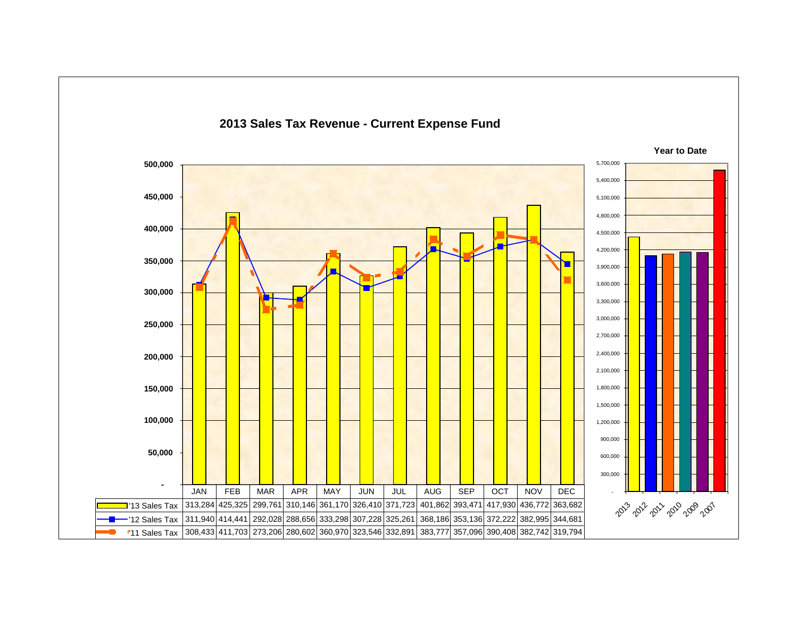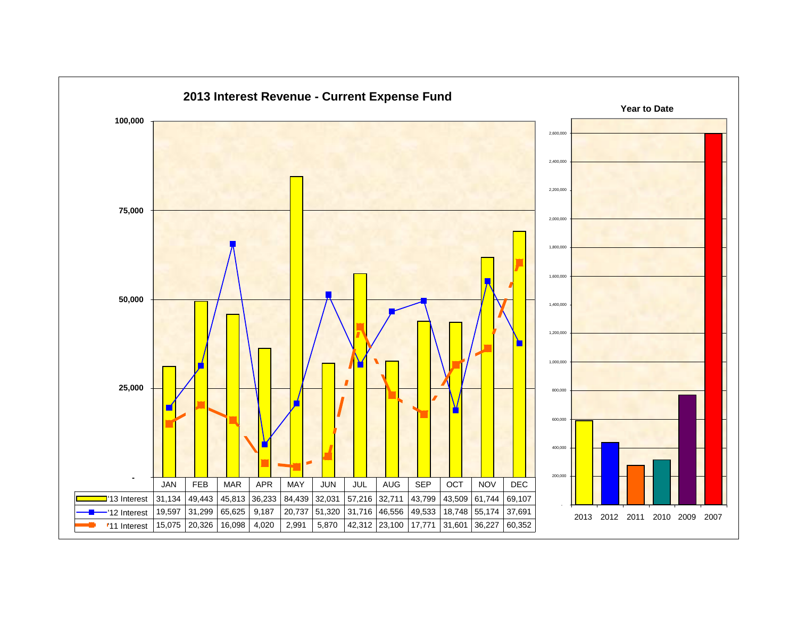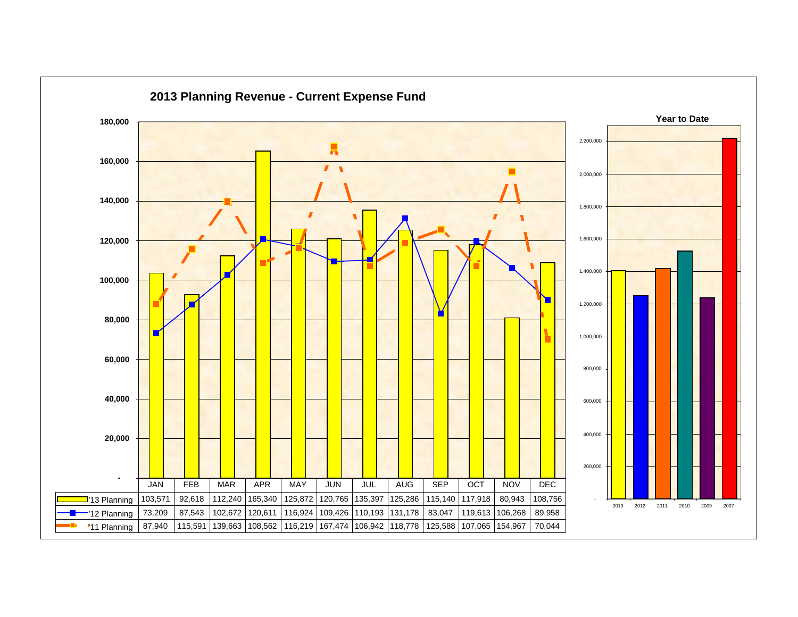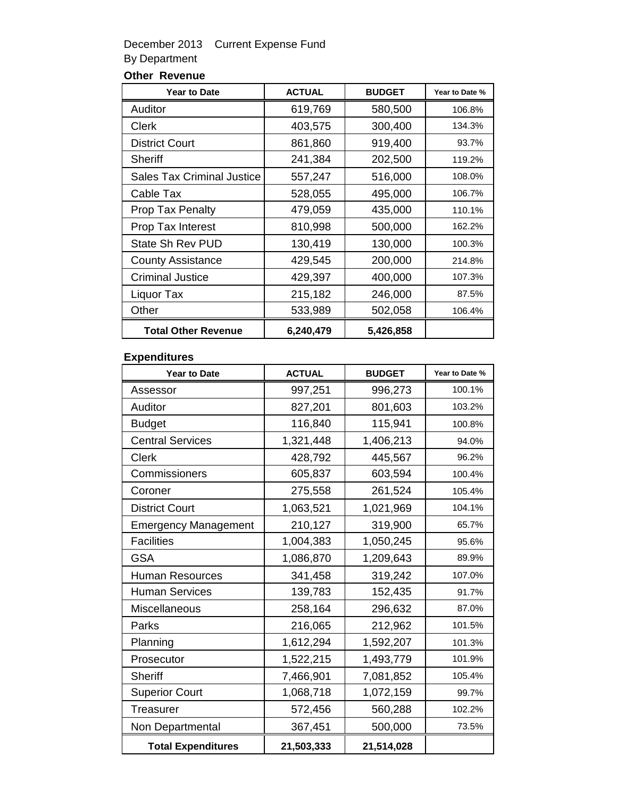### December 2013 Current Expense Fund By Department

### **Other Revenue**

| <b>Year to Date</b>               | <b>ACTUAL</b> | <b>BUDGET</b> | Year to Date % |
|-----------------------------------|---------------|---------------|----------------|
| Auditor                           | 619,769       | 580,500       | 106.8%         |
| Clerk                             | 403,575       | 300,400       | 134.3%         |
| <b>District Court</b>             | 861,860       | 919,400       | 93.7%          |
| Sheriff                           | 241,384       | 202,500       | 119.2%         |
| <b>Sales Tax Criminal Justice</b> | 557,247       | 516,000       | 108.0%         |
| Cable Tax                         | 528,055       | 495,000       | 106.7%         |
| <b>Prop Tax Penalty</b>           | 479,059       | 435,000       | 110.1%         |
| Prop Tax Interest                 | 810,998       | 500,000       | 162.2%         |
| State Sh Rev PUD                  | 130,419       | 130,000       | 100.3%         |
| <b>County Assistance</b>          | 429,545       | 200,000       | 214.8%         |
| <b>Criminal Justice</b>           | 429,397       | 400,000       | 107.3%         |
| Liquor Tax                        | 215,182       | 246,000       | 87.5%          |
| Other                             | 533,989       | 502,058       | 106.4%         |
| <b>Total Other Revenue</b>        | 6,240,479     | 5,426,858     |                |

#### **Expenditures**

| <b>Year to Date</b>         | <b>ACTUAL</b> | <b>BUDGET</b> | Year to Date % |
|-----------------------------|---------------|---------------|----------------|
| Assessor                    | 997,251       | 996,273       | 100.1%         |
| Auditor                     | 827,201       | 801,603       | 103.2%         |
| <b>Budget</b>               | 116,840       | 115,941       | 100.8%         |
| <b>Central Services</b>     | 1,321,448     | 1,406,213     | 94.0%          |
| Clerk                       | 428,792       | 445,567       | 96.2%          |
| Commissioners               | 605,837       | 603,594       | 100.4%         |
| Coroner                     | 275,558       | 261,524       | 105.4%         |
| <b>District Court</b>       | 1,063,521     | 1,021,969     | 104.1%         |
| <b>Emergency Management</b> | 210,127       | 319,900       | 65.7%          |
| <b>Facilities</b>           | 1,004,383     | 1,050,245     | 95.6%          |
| <b>GSA</b>                  | 1,086,870     | 1,209,643     | 89.9%          |
| <b>Human Resources</b>      | 341,458       | 319,242       | 107.0%         |
| <b>Human Services</b>       | 139,783       | 152,435       | 91.7%          |
| Miscellaneous               | 258,164       | 296,632       | 87.0%          |
| Parks                       | 216,065       | 212,962       | 101.5%         |
| Planning                    | 1,612,294     | 1,592,207     | 101.3%         |
| Prosecutor                  | 1,522,215     | 1,493,779     | 101.9%         |
| <b>Sheriff</b>              | 7,466,901     | 7,081,852     | 105.4%         |
| <b>Superior Court</b>       | 1,068,718     | 1,072,159     | 99.7%          |
| Treasurer                   | 572,456       | 560,288       | 102.2%         |
| Non Departmental            | 367,451       | 500,000       | 73.5%          |
| <b>Total Expenditures</b>   | 21,503,333    | 21,514,028    |                |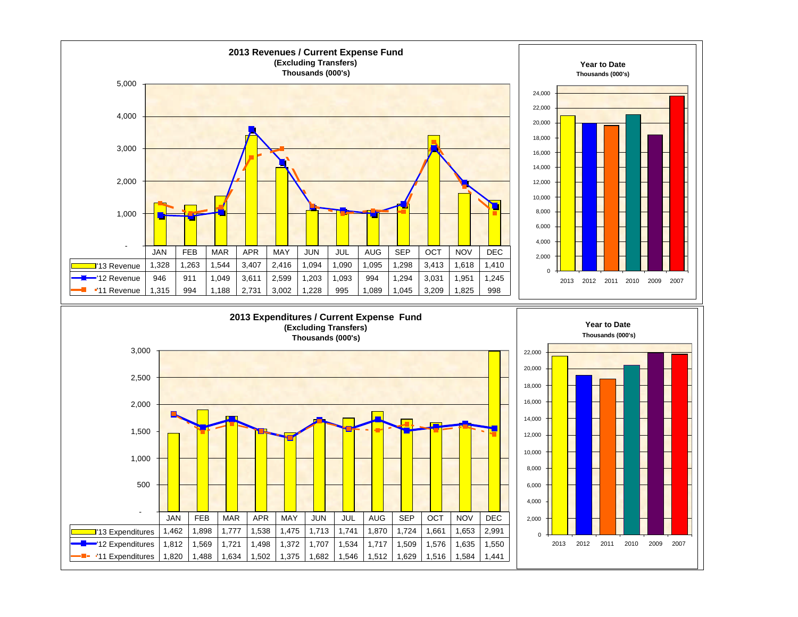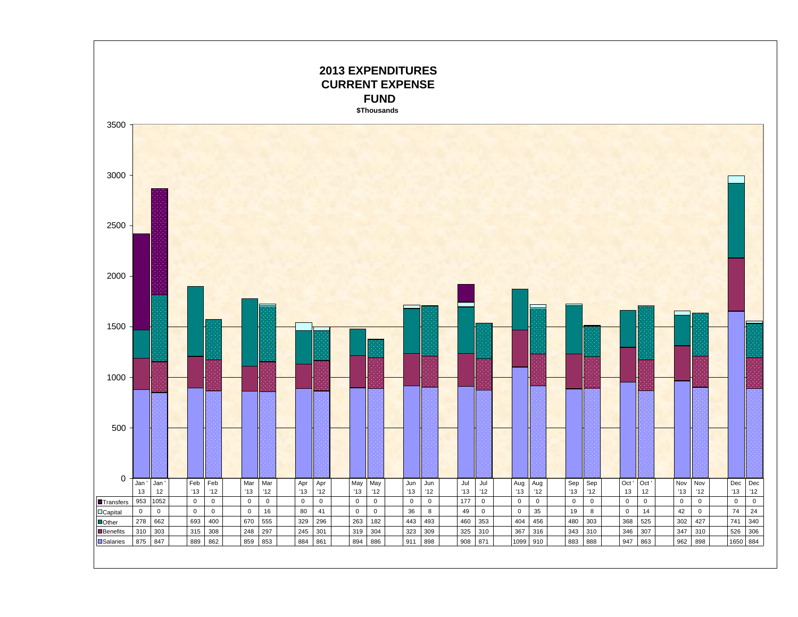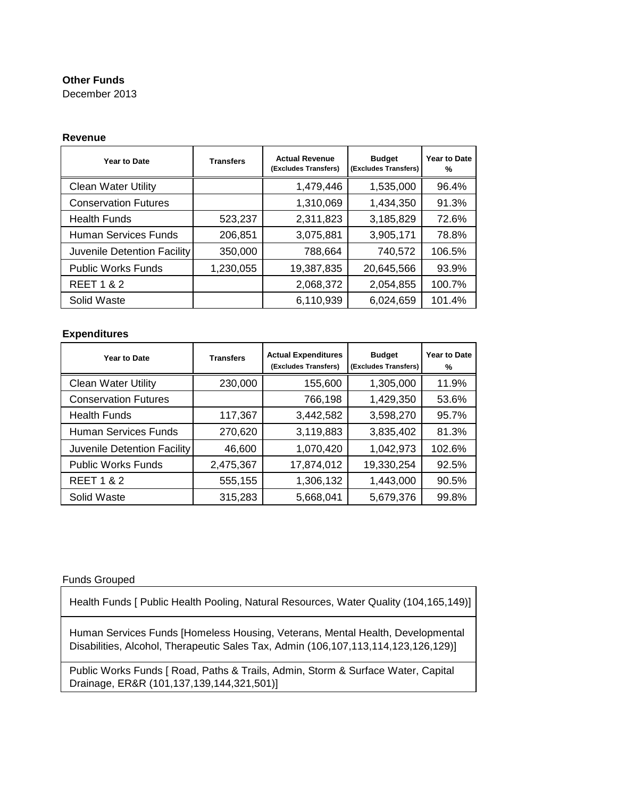#### **Other Funds**

December 2013

#### **Revenue**

| Year to Date                | <b>Transfers</b> | <b>Actual Revenue</b><br>(Excludes Transfers) | <b>Budget</b><br>(Excludes Transfers) | Year to Date<br>℀ |
|-----------------------------|------------------|-----------------------------------------------|---------------------------------------|-------------------|
| <b>Clean Water Utility</b>  |                  | 1,479,446                                     | 1,535,000                             | 96.4%             |
| <b>Conservation Futures</b> |                  | 1,310,069                                     | 1,434,350                             | 91.3%             |
| <b>Health Funds</b>         | 523,237          | 2,311,823                                     | 3,185,829                             | 72.6%             |
| <b>Human Services Funds</b> | 206,851          | 3,075,881                                     | 3,905,171                             | 78.8%             |
| Juvenile Detention Facility | 350,000          | 788,664                                       | 740,572                               | 106.5%            |
| <b>Public Works Funds</b>   | 1,230,055        | 19,387,835                                    | 20,645,566                            | 93.9%             |
| <b>REET 1 &amp; 2</b>       |                  | 2,068,372                                     | 2,054,855                             | 100.7%            |
| Solid Waste                 |                  | 6,110,939                                     | 6,024,659                             | 101.4%            |

#### **Expenditures**

| Year to Date                | <b>Transfers</b> | <b>Actual Expenditures</b><br>(Excludes Transfers) | <b>Budget</b><br>(Excludes Transfers) | Year to Date<br>℅ |
|-----------------------------|------------------|----------------------------------------------------|---------------------------------------|-------------------|
| <b>Clean Water Utility</b>  | 230,000          | 155,600                                            | 1,305,000                             | 11.9%             |
| <b>Conservation Futures</b> |                  | 766,198                                            | 1,429,350                             | 53.6%             |
| <b>Health Funds</b>         | 117,367          | 3,442,582                                          | 3,598,270                             | 95.7%             |
| <b>Human Services Funds</b> | 270,620          | 3,119,883                                          | 3,835,402                             | 81.3%             |
| Juvenile Detention Facility | 46,600           | 1,070,420                                          | 1,042,973                             | 102.6%            |
| <b>Public Works Funds</b>   | 2,475,367        | 17,874,012                                         | 19,330,254                            | 92.5%             |
| <b>REET 1 &amp; 2</b>       | 555,155          | 1,306,132                                          | 1,443,000                             | 90.5%             |
| Solid Waste                 | 315,283          | 5,668,041                                          | 5,679,376                             | 99.8%             |

#### Funds Grouped

Health Funds [ Public Health Pooling, Natural Resources, Water Quality (104,165,149)]

Human Services Funds [Homeless Housing, Veterans, Mental Health, Developmental Disabilities, Alcohol, Therapeutic Sales Tax, Admin (106,107,113,114,123,126,129)]

Public Works Funds [ Road, Paths & Trails, Admin, Storm & Surface Water, Capital Drainage, ER&R (101,137,139,144,321,501)]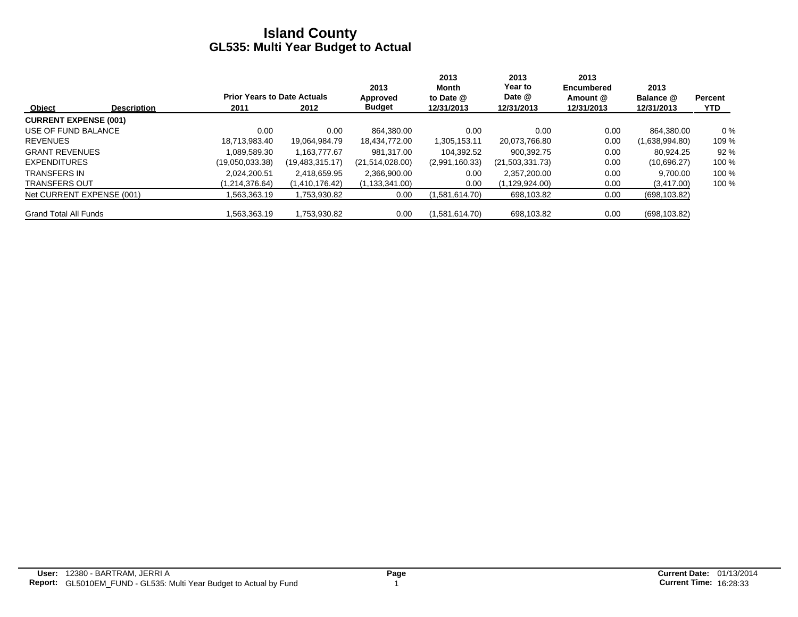|                              |                    |                                    |                 | 2013             | 2013<br>Month  | 2013<br>Year to | 2013<br>Encumbered | 2013           |                |
|------------------------------|--------------------|------------------------------------|-----------------|------------------|----------------|-----------------|--------------------|----------------|----------------|
|                              |                    | <b>Prior Years to Date Actuals</b> |                 | Approved         | to Date @      | Date @          | Amount @           | Balance @      | <b>Percent</b> |
| Object                       | <b>Description</b> | 2011                               | 2012            | <b>Budget</b>    | 12/31/2013     | 12/31/2013      | 12/31/2013         | 12/31/2013     | <b>YTD</b>     |
| <b>CURRENT EXPENSE (001)</b> |                    |                                    |                 |                  |                |                 |                    |                |                |
| USE OF FUND BALANCE          |                    | 0.00                               | 0.00            | 864.380.00       | 0.00           | 0.00            | 0.00               | 864,380.00     | $0\%$          |
| <b>REVENUES</b>              |                    | 18.713.983.40                      | 19.064.984.79   | 18,434,772.00    | 1,305,153.11   | 20.073.766.80   | 0.00               | (1,638,994.80) | 109 %          |
| <b>GRANT REVENUES</b>        |                    | 1.089.589.30                       | 1.163.777.67    | 981.317.00       | 104.392.52     | 900.392.75      | 0.00               | 80.924.25      | 92%            |
| <b>EXPENDITURES</b>          |                    | (19.050.033.38)                    | (19,483,315.17) | (21,514,028.00)  | (2,991,160.33) | (21,503,331.73) | 0.00               | (10,696.27)    | 100 %          |
| <b>TRANSFERS IN</b>          |                    | 2.024.200.51                       | 2.418.659.95    | 2,366,900.00     | 0.00           | 2.357.200.00    | 0.00               | 9.700.00       | 100 %          |
| <b>TRANSFERS OUT</b>         |                    | (1.214.376.64)                     | (1,410,176.42)  | (1, 133, 341.00) | 0.00           | (1.129.924.00)  | 0.00               | (3,417.00)     | 100 %          |
| Net CURRENT EXPENSE (001)    |                    | .563,363.19                        | 1,753,930.82    | 0.00             | (1,581,614.70) | 698,103.82      | 0.00               | (698, 103.82)  |                |
| <b>Grand Total All Funds</b> |                    | .563.363.19                        | 1,753,930.82    | 0.00             | (1,581,614.70) | 698,103.82      | 0.00               | (698, 103.82)  |                |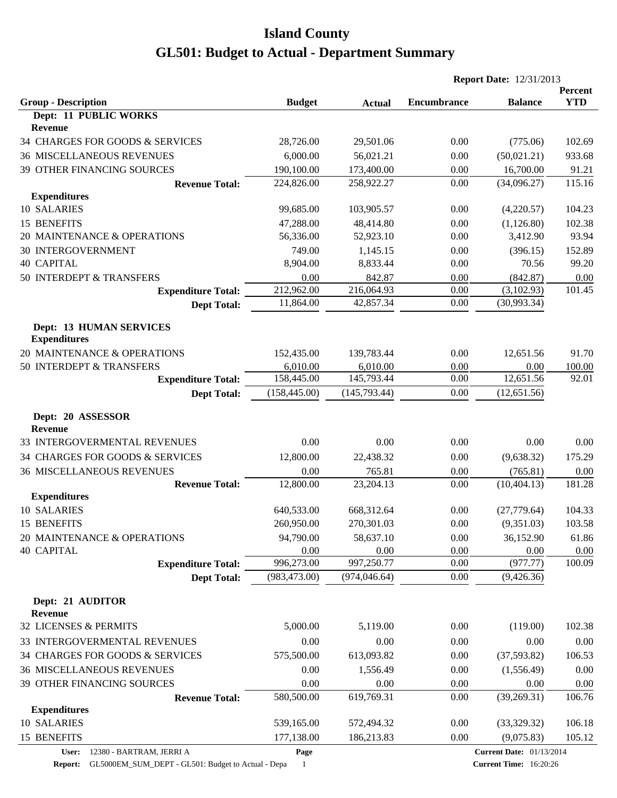|                                                       |               |               |                    | <b>Report Date: 12/31/2013</b>  |                       |
|-------------------------------------------------------|---------------|---------------|--------------------|---------------------------------|-----------------------|
| <b>Group - Description</b>                            | <b>Budget</b> | <b>Actual</b> | <b>Encumbrance</b> | <b>Balance</b>                  | Percent<br><b>YTD</b> |
| Dept: 11 PUBLIC WORKS<br><b>Revenue</b>               |               |               |                    |                                 |                       |
| 34 CHARGES FOR GOODS & SERVICES                       | 28,726.00     | 29,501.06     | 0.00               | (775.06)                        | 102.69                |
| <b>36 MISCELLANEOUS REVENUES</b>                      | 6,000.00      | 56,021.21     | 0.00               | (50,021.21)                     | 933.68                |
| 39 OTHER FINANCING SOURCES                            | 190,100.00    | 173,400.00    | 0.00               | 16,700.00                       | 91.21                 |
| <b>Revenue Total:</b>                                 | 224,826.00    | 258,922.27    | 0.00               | (34,096.27)                     | 115.16                |
| <b>Expenditures</b>                                   |               |               |                    |                                 |                       |
| 10 SALARIES                                           | 99,685.00     | 103,905.57    | 0.00               | (4,220.57)                      | 104.23                |
| 15 BENEFITS                                           | 47,288.00     | 48,414.80     | 0.00               | (1,126.80)                      | 102.38                |
| 20 MAINTENANCE & OPERATIONS                           | 56,336.00     | 52,923.10     | 0.00               | 3,412.90                        | 93.94                 |
| <b>30 INTERGOVERNMENT</b>                             | 749.00        | 1,145.15      | 0.00               | (396.15)                        | 152.89                |
| <b>40 CAPITAL</b>                                     | 8,904.00      | 8,833.44      | 0.00               | 70.56                           | 99.20                 |
| 50 INTERDEPT & TRANSFERS                              | 0.00          | 842.87        | 0.00               | (842.87)                        | 0.00                  |
| <b>Expenditure Total:</b>                             | 212,962.00    | 216,064.93    | 0.00               | (3,102.93)                      | 101.45                |
| <b>Dept Total:</b>                                    | 11,864.00     | 42,857.34     | 0.00               | (30,993.34)                     |                       |
| <b>Dept: 13 HUMAN SERVICES</b><br><b>Expenditures</b> |               |               |                    |                                 |                       |
| 20 MAINTENANCE & OPERATIONS                           | 152,435.00    | 139,783.44    | 0.00               | 12,651.56                       | 91.70                 |
| 50 INTERDEPT & TRANSFERS                              | 6,010.00      | 6,010.00      | 0.00               | 0.00                            | 100.00                |
| <b>Expenditure Total:</b>                             | 158,445.00    | 145,793.44    | 0.00               | 12,651.56                       | 92.01                 |
| <b>Dept Total:</b>                                    | (158, 445.00) | (145, 793.44) | 0.00               | (12, 651.56)                    |                       |
| Dept: 20 ASSESSOR<br><b>Revenue</b>                   |               |               |                    |                                 |                       |
| 33 INTERGOVERMENTAL REVENUES                          | 0.00          | 0.00          | 0.00               | 0.00                            | 0.00                  |
| 34 CHARGES FOR GOODS & SERVICES                       | 12,800.00     | 22,438.32     | 0.00               | (9,638.32)                      | 175.29                |
| <b>36 MISCELLANEOUS REVENUES</b>                      | 0.00          | 765.81        | 0.00               | (765.81)                        | 0.00                  |
| <b>Revenue Total:</b>                                 | 12,800.00     | 23,204.13     | 0.00               | (10, 404.13)                    | 181.28                |
| <b>Expenditures</b>                                   |               |               |                    |                                 |                       |
| 10 SALARIES                                           | 640,533.00    | 668,312.64    | 0.00               | (27,779.64)                     | 104.33                |
| 15 BENEFITS                                           | 260,950.00    | 270,301.03    | 0.00               | (9,351.03)                      | 103.58                |
| 20 MAINTENANCE & OPERATIONS                           | 94,790.00     | 58,637.10     | 0.00               | 36,152.90                       | 61.86                 |
| <b>40 CAPITAL</b>                                     | 0.00          | 0.00          | 0.00               | 0.00                            | 0.00                  |
| <b>Expenditure Total:</b>                             | 996,273.00    | 997,250.77    | 0.00               | (977.77)                        | 100.09                |
| <b>Dept Total:</b>                                    | (983, 473.00) | (974, 046.64) | 0.00               | (9,426.36)                      |                       |
| Dept: 21 AUDITOR<br><b>Revenue</b>                    |               |               |                    |                                 |                       |
| 32 LICENSES & PERMITS                                 | 5,000.00      | 5,119.00      | 0.00               | (119.00)                        | 102.38                |
| 33 INTERGOVERMENTAL REVENUES                          | 0.00          | 0.00          | 0.00               | 0.00                            | 0.00                  |
| 34 CHARGES FOR GOODS & SERVICES                       | 575,500.00    | 613,093.82    | 0.00               | (37, 593.82)                    | 106.53                |
| <b>36 MISCELLANEOUS REVENUES</b>                      | 0.00          | 1,556.49      | 0.00               | (1,556.49)                      | 0.00                  |
| 39 OTHER FINANCING SOURCES                            | 0.00          | 0.00          | 0.00               | 0.00                            | 0.00                  |
| <b>Revenue Total:</b>                                 | 580,500.00    | 619,769.31    | 0.00               | (39, 269.31)                    | 106.76                |
| <b>Expenditures</b>                                   |               |               |                    |                                 |                       |
| 10 SALARIES                                           | 539,165.00    | 572,494.32    | 0.00               | (33,329.32)                     | 106.18                |
| 15 BENEFITS                                           | 177,138.00    | 186,213.83    | 0.00               | (9,075.83)                      | 105.12                |
| 12380 - BARTRAM, JERRI A<br>User:                     | Page          |               |                    | <b>Current Date: 01/13/2014</b> |                       |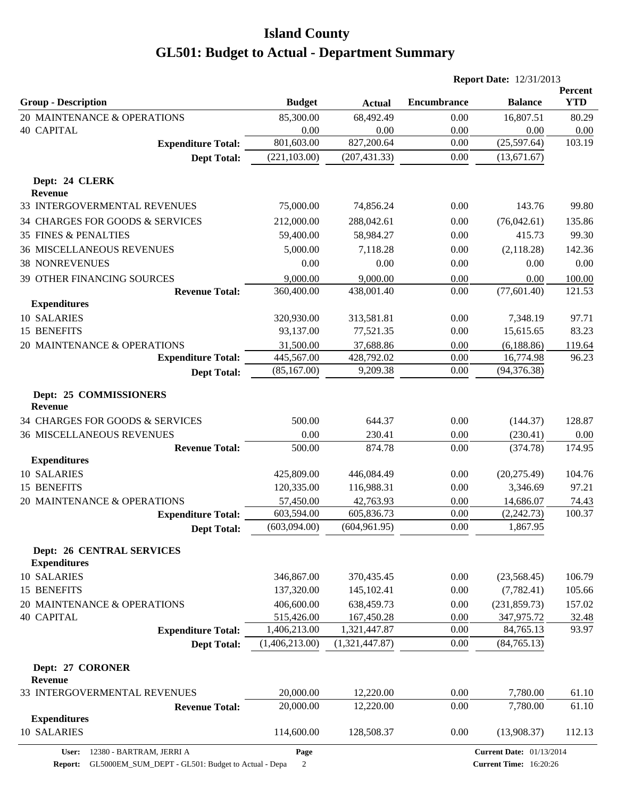|                                                         |                         |                         |                    | <b>Report Date: 12/31/2013</b>  |                       |
|---------------------------------------------------------|-------------------------|-------------------------|--------------------|---------------------------------|-----------------------|
| <b>Group - Description</b>                              | <b>Budget</b>           | <b>Actual</b>           | <b>Encumbrance</b> | <b>Balance</b>                  | Percent<br><b>YTD</b> |
| 20 MAINTENANCE & OPERATIONS                             | 85,300.00               | 68,492.49               | 0.00               | 16,807.51                       | 80.29                 |
| <b>40 CAPITAL</b>                                       | 0.00                    | 0.00                    | 0.00               | 0.00                            | 0.00                  |
| <b>Expenditure Total:</b>                               | 801,603.00              | 827,200.64              | 0.00               | (25,597.64)                     | 103.19                |
| <b>Dept Total:</b>                                      | (221, 103.00)           | (207, 431.33)           | 0.00               | (13,671.67)                     |                       |
| Dept: 24 CLERK<br><b>Revenue</b>                        |                         |                         |                    |                                 |                       |
| 33 INTERGOVERMENTAL REVENUES                            | 75,000.00               | 74,856.24               | 0.00               | 143.76                          | 99.80                 |
| 34 CHARGES FOR GOODS & SERVICES                         | 212,000.00              | 288,042.61              | 0.00               | (76,042.61)                     | 135.86                |
| <b>35 FINES &amp; PENALTIES</b>                         | 59,400.00               | 58,984.27               | 0.00               | 415.73                          | 99.30                 |
| <b>36 MISCELLANEOUS REVENUES</b>                        | 5,000.00                | 7,118.28                | 0.00               | (2,118.28)                      | 142.36                |
| <b>38 NONREVENUES</b>                                   | 0.00                    | 0.00                    | 0.00               | 0.00                            | 0.00                  |
| 39 OTHER FINANCING SOURCES                              | 9,000.00                | 9,000.00                | 0.00               | 0.00                            | 100.00                |
| <b>Revenue Total:</b><br><b>Expenditures</b>            | 360,400.00              | 438,001.40              | 0.00               | (77, 601.40)                    | 121.53                |
| 10 SALARIES                                             | 320,930.00              | 313,581.81              | 0.00               | 7,348.19                        | 97.71                 |
| 15 BENEFITS                                             | 93,137.00               | 77,521.35               | 0.00               | 15,615.65                       | 83.23                 |
| 20 MAINTENANCE & OPERATIONS                             | 31,500.00               | 37,688.86               | 0.00               | (6, 188.86)                     | 119.64                |
| <b>Expenditure Total:</b>                               | 445,567.00              | 428,792.02              | 0.00               | 16,774.98                       | 96.23                 |
| <b>Dept Total:</b>                                      | (85, 167.00)            | 9,209.38                | 0.00               | (94, 376.38)                    |                       |
| Dept: 25 COMMISSIONERS<br><b>Revenue</b>                |                         |                         |                    |                                 |                       |
| 34 CHARGES FOR GOODS & SERVICES                         | 500.00                  | 644.37                  | 0.00               | (144.37)                        | 128.87                |
| <b>36 MISCELLANEOUS REVENUES</b>                        | 0.00                    | 230.41                  | 0.00               | (230.41)                        | 0.00                  |
| <b>Revenue Total:</b>                                   | 500.00                  | 874.78                  | 0.00               | (374.78)                        | 174.95                |
| <b>Expenditures</b>                                     |                         |                         |                    |                                 |                       |
| 10 SALARIES                                             | 425,809.00              | 446,084.49              | 0.00               | (20, 275.49)                    | 104.76                |
| 15 BENEFITS                                             | 120,335.00              | 116,988.31              | 0.00               | 3,346.69                        | 97.21                 |
| 20 MAINTENANCE & OPERATIONS                             | 57,450.00<br>603,594.00 | 42,763.93<br>605,836.73 | 0.00<br>0.00       | 14,686.07<br>(2, 242.73)        | 74.43<br>100.37       |
| <b>Expenditure Total:</b><br><b>Dept Total:</b>         | (603,094.00)            | (604, 961.95)           | 0.00               | 1,867.95                        |                       |
| <b>Dept: 26 CENTRAL SERVICES</b><br><b>Expenditures</b> |                         |                         |                    |                                 |                       |
| 10 SALARIES                                             | 346,867.00              | 370,435.45              | 0.00               | (23,568.45)                     | 106.79                |
| 15 BENEFITS                                             | 137,320.00              | 145,102.41              | 0.00               | (7,782.41)                      | 105.66                |
| 20 MAINTENANCE & OPERATIONS                             | 406,600.00              | 638,459.73              | 0.00               | (231, 859.73)                   | 157.02                |
| <b>40 CAPITAL</b>                                       | 515,426.00              | 167,450.28              | 0.00               | 347,975.72                      | 32.48                 |
| <b>Expenditure Total:</b>                               | 1,406,213.00            | 1,321,447.87            | 0.00               | 84,765.13                       | 93.97                 |
| <b>Dept Total:</b>                                      | (1,406,213.00)          | (1,321,447.87)          | 0.00               | (84, 765.13)                    |                       |
| Dept: 27 CORONER<br>Revenue                             |                         |                         |                    |                                 |                       |
| 33 INTERGOVERMENTAL REVENUES                            | 20,000.00               | 12,220.00               | 0.00               | 7,780.00                        | 61.10                 |
| <b>Revenue Total:</b>                                   | 20,000.00               | 12,220.00               | 0.00               | 7,780.00                        | 61.10                 |
| <b>Expenditures</b><br>10 SALARIES                      | 114,600.00              | 128,508.37              | 0.00               | (13,908.37)                     | 112.13                |
| 12380 - BARTRAM, JERRI A<br>User:                       | Page                    |                         |                    | <b>Current Date: 01/13/2014</b> |                       |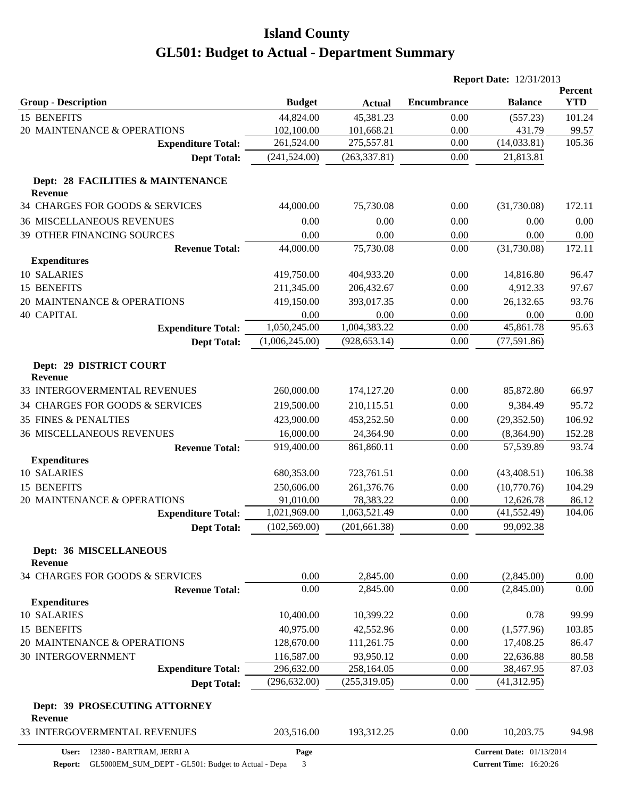|                                           |                |               | <b>Report Date: 12/31/2013</b> |                                 |                       |
|-------------------------------------------|----------------|---------------|--------------------------------|---------------------------------|-----------------------|
| <b>Group - Description</b>                | <b>Budget</b>  | <b>Actual</b> | <b>Encumbrance</b>             | <b>Balance</b>                  | Percent<br><b>YTD</b> |
| 15 BENEFITS                               | 44,824.00      | 45,381.23     | 0.00                           | (557.23)                        | 101.24                |
| 20 MAINTENANCE & OPERATIONS               | 102,100.00     | 101,668.21    | 0.00                           | 431.79                          | 99.57                 |
| <b>Expenditure Total:</b>                 | 261,524.00     | 275,557.81    | 0.00                           | (14, 033.81)                    | 105.36                |
| <b>Dept Total:</b>                        | (241, 524.00)  | (263, 337.81) | 0.00                           | 21,813.81                       |                       |
| Dept: 28 FACILITIES & MAINTENANCE         |                |               |                                |                                 |                       |
| <b>Revenue</b>                            |                |               |                                |                                 |                       |
| 34 CHARGES FOR GOODS & SERVICES           | 44,000.00      | 75,730.08     | 0.00                           | (31,730.08)                     | 172.11                |
| <b>36 MISCELLANEOUS REVENUES</b>          | 0.00           | 0.00          | 0.00                           | 0.00                            | 0.00                  |
| 39 OTHER FINANCING SOURCES                | 0.00           | 0.00          | 0.00                           | 0.00                            | 0.00                  |
| <b>Revenue Total:</b>                     | 44,000.00      | 75,730.08     | 0.00                           | (31,730.08)                     | 172.11                |
| <b>Expenditures</b>                       |                |               |                                |                                 |                       |
| 10 SALARIES                               | 419,750.00     | 404,933.20    | 0.00                           | 14,816.80                       | 96.47                 |
| 15 BENEFITS                               | 211,345.00     | 206,432.67    | 0.00                           | 4,912.33                        | 97.67                 |
| 20 MAINTENANCE & OPERATIONS               | 419,150.00     | 393,017.35    | 0.00                           | 26,132.65                       | 93.76                 |
| <b>40 CAPITAL</b>                         | 0.00           | 0.00          | 0.00                           | 0.00                            | 0.00                  |
| <b>Expenditure Total:</b>                 | 1,050,245.00   | 1,004,383.22  | $0.00\,$                       | 45,861.78                       | 95.63                 |
| <b>Dept Total:</b>                        | (1,006,245.00) | (928, 653.14) | 0.00                           | (77, 591.86)                    |                       |
| Dept: 29 DISTRICT COURT<br><b>Revenue</b> |                |               |                                |                                 |                       |
| 33 INTERGOVERMENTAL REVENUES              | 260,000.00     | 174,127.20    | 0.00                           | 85,872.80                       | 66.97                 |
| 34 CHARGES FOR GOODS & SERVICES           | 219,500.00     | 210,115.51    | 0.00                           | 9,384.49                        | 95.72                 |
| <b>35 FINES &amp; PENALTIES</b>           | 423,900.00     | 453,252.50    | 0.00                           | (29, 352.50)                    | 106.92                |
| <b>36 MISCELLANEOUS REVENUES</b>          | 16,000.00      | 24,364.90     | 0.00                           | (8,364.90)                      | 152.28                |
| <b>Revenue Total:</b>                     | 919,400.00     | 861,860.11    | 0.00                           | 57,539.89                       | 93.74                 |
| <b>Expenditures</b>                       |                |               |                                |                                 |                       |
| 10 SALARIES                               | 680,353.00     | 723,761.51    | 0.00                           | (43, 408.51)                    | 106.38                |
| 15 BENEFITS                               | 250,606.00     | 261,376.76    | 0.00                           | (10,770.76)                     | 104.29                |
| 20 MAINTENANCE & OPERATIONS               | 91,010.00      | 78,383.22     | 0.00                           | 12,626.78                       | 86.12                 |
| <b>Expenditure Total:</b>                 | 1,021,969.00   | 1,063,521.49  | 0.00                           | (41, 552.49)                    | 104.06                |
| <b>Dept Total:</b>                        | (102, 569.00)  | (201, 661.38) | $0.00\,$                       | 99,092.38                       |                       |
| Dept: 36 MISCELLANEOUS<br><b>Revenue</b>  |                |               |                                |                                 |                       |
| 34 CHARGES FOR GOODS & SERVICES           | 0.00           | 2,845.00      | 0.00                           | (2,845.00)                      | 0.00                  |
| <b>Revenue Total:</b>                     | 0.00           | 2,845.00      | 0.00                           | (2,845.00)                      | 0.00                  |
| <b>Expenditures</b>                       |                |               |                                |                                 |                       |
| 10 SALARIES                               | 10,400.00      | 10,399.22     | 0.00                           | 0.78                            | 99.99                 |
| 15 BENEFITS                               | 40,975.00      | 42,552.96     | 0.00                           | (1,577.96)                      | 103.85                |
| 20 MAINTENANCE & OPERATIONS               | 128,670.00     | 111,261.75    | 0.00                           | 17,408.25                       | 86.47                 |
| 30 INTERGOVERNMENT                        | 116,587.00     | 93,950.12     | 0.00                           | 22,636.88                       | 80.58                 |
| <b>Expenditure Total:</b>                 | 296,632.00     | 258,164.05    | 0.00                           | 38,467.95                       | 87.03                 |
| <b>Dept Total:</b>                        | (296, 632.00)  | (255, 319.05) | 0.00                           | (41, 312.95)                    |                       |
| Dept: 39 PROSECUTING ATTORNEY<br>Revenue  |                |               |                                |                                 |                       |
| 33 INTERGOVERMENTAL REVENUES              | 203,516.00     | 193,312.25    | 0.00                           | 10,203.75                       | 94.98                 |
| 12380 - BARTRAM, JERRI A<br>User:         | Page           |               |                                | <b>Current Date: 01/13/2014</b> |                       |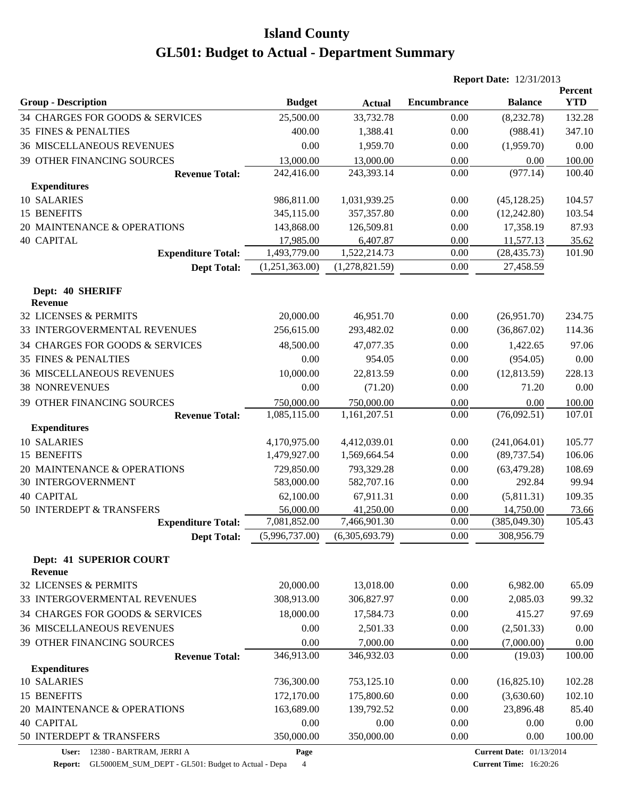|                                                       |                           |                           |                    | <b>Report Date: 12/31/2013</b> |                       |
|-------------------------------------------------------|---------------------------|---------------------------|--------------------|--------------------------------|-----------------------|
| <b>Group - Description</b>                            | <b>Budget</b>             | <b>Actual</b>             | <b>Encumbrance</b> | <b>Balance</b>                 | Percent<br><b>YTD</b> |
| 34 CHARGES FOR GOODS & SERVICES                       | 25,500.00                 | 33,732.78                 | 0.00               | (8,232.78)                     | 132.28                |
| <b>35 FINES &amp; PENALTIES</b>                       | 400.00                    | 1,388.41                  | 0.00               | (988.41)                       | 347.10                |
| <b>36 MISCELLANEOUS REVENUES</b>                      | 0.00                      | 1,959.70                  | 0.00               | (1,959.70)                     | 0.00                  |
| 39 OTHER FINANCING SOURCES                            | 13,000.00                 | 13,000.00                 | 0.00               | 0.00                           | 100.00                |
| <b>Revenue Total:</b>                                 | 242,416.00                | 243,393.14                | 0.00               | (977.14)                       | 100.40                |
| <b>Expenditures</b>                                   |                           |                           |                    |                                |                       |
| 10 SALARIES                                           | 986,811.00                | 1,031,939.25              | 0.00               | (45, 128.25)                   | 104.57                |
| 15 BENEFITS                                           | 345,115.00                | 357, 357.80               | 0.00               | (12, 242.80)                   | 103.54                |
| 20 MAINTENANCE & OPERATIONS                           | 143,868.00                | 126,509.81                | 0.00               | 17,358.19                      | 87.93                 |
| <b>40 CAPITAL</b>                                     | 17,985.00<br>1,493,779.00 | 6,407.87<br>1,522,214.73  | 0.00<br>0.00       | 11,577.13                      | 35.62<br>101.90       |
| <b>Expenditure Total:</b>                             |                           |                           |                    | (28, 435.73)                   |                       |
| <b>Dept Total:</b>                                    | (1,251,363.00)            | (1,278,821.59)            | 0.00               | 27,458.59                      |                       |
| Dept: 40 SHERIFF                                      |                           |                           |                    |                                |                       |
| <b>Revenue</b>                                        |                           |                           |                    |                                |                       |
| 32 LICENSES & PERMITS                                 | 20,000.00                 | 46,951.70                 | 0.00               | (26,951.70)                    | 234.75                |
| 33 INTERGOVERMENTAL REVENUES                          | 256,615.00                | 293,482.02                | 0.00               | (36, 867.02)                   | 114.36                |
| 34 CHARGES FOR GOODS & SERVICES                       | 48,500.00                 | 47,077.35                 | 0.00               | 1,422.65                       | 97.06                 |
| <b>35 FINES &amp; PENALTIES</b>                       | 0.00                      | 954.05                    | 0.00               | (954.05)                       | 0.00                  |
| <b>36 MISCELLANEOUS REVENUES</b>                      | 10,000.00                 | 22,813.59                 | 0.00               | (12, 813.59)                   | 228.13                |
| <b>38 NONREVENUES</b>                                 | 0.00                      | (71.20)                   | 0.00               | 71.20                          | 0.00                  |
| 39 OTHER FINANCING SOURCES                            | 750,000.00                | 750,000.00                | 0.00               | 0.00                           | 100.00                |
| <b>Revenue Total:</b>                                 | 1,085,115.00              | 1,161,207.51              | 0.00               | (76,092.51)                    | 107.01                |
| <b>Expenditures</b>                                   |                           |                           |                    |                                |                       |
| 10 SALARIES                                           | 4,170,975.00              | 4,412,039.01              | 0.00               | (241,064.01)                   | 105.77                |
| 15 BENEFITS                                           | 1,479,927.00              | 1,569,664.54              | 0.00               | (89, 737.54)                   | 106.06                |
| 20 MAINTENANCE & OPERATIONS                           | 729,850.00                | 793,329.28                | 0.00               | (63, 479.28)                   | 108.69                |
| <b>30 INTERGOVERNMENT</b>                             | 583,000.00                | 582,707.16                | 0.00               | 292.84                         | 99.94                 |
| <b>40 CAPITAL</b>                                     | 62,100.00                 | 67,911.31                 | 0.00               | (5,811.31)                     | 109.35                |
| 50 INTERDEPT & TRANSFERS<br><b>Expenditure Total:</b> | 56,000.00<br>7,081,852.00 | 41,250.00<br>7,466,901.30 | 0.00<br>0.00       | 14,750.00<br>(385, 049.30)     | 73.66<br>105.43       |
| <b>Dept Total:</b>                                    | (5,996,737.00)            | (6,305,693.79)            | 0.00               | 308,956.79                     |                       |
|                                                       |                           |                           |                    |                                |                       |
| Dept: 41 SUPERIOR COURT<br><b>Revenue</b>             |                           |                           |                    |                                |                       |
| 32 LICENSES & PERMITS                                 | 20,000.00                 | 13,018.00                 | 0.00               | 6,982.00                       | 65.09                 |
| 33 INTERGOVERMENTAL REVENUES                          | 308,913.00                | 306,827.97                | 0.00               | 2,085.03                       | 99.32                 |
| 34 CHARGES FOR GOODS & SERVICES                       | 18,000.00                 | 17,584.73                 | 0.00               | 415.27                         | 97.69                 |
| <b>36 MISCELLANEOUS REVENUES</b>                      | 0.00                      | 2,501.33                  | 0.00               | (2,501.33)                     | 0.00                  |
| 39 OTHER FINANCING SOURCES                            | 0.00                      | 7,000.00                  | 0.00               | (7,000.00)                     | 0.00                  |
| <b>Revenue Total:</b>                                 | 346,913.00                | 346,932.03                | 0.00               | (19.03)                        | 100.00                |
| <b>Expenditures</b>                                   |                           |                           |                    |                                |                       |
| 10 SALARIES                                           | 736,300.00                | 753,125.10                | 0.00               | (16,825.10)                    | 102.28                |
| 15 BENEFITS                                           | 172,170.00                | 175,800.60                | 0.00               | (3,630.60)                     | 102.10                |
| 20 MAINTENANCE & OPERATIONS                           | 163,689.00                | 139,792.52                | 0.00               | 23,896.48                      | 85.40                 |
| <b>40 CAPITAL</b>                                     | 0.00                      | 0.00                      | 0.00               | 0.00                           | 0.00                  |
| 50 INTERDEPT & TRANSFERS                              | 350,000.00                | 350,000.00                | 0.00               | 0.00                           | 100.00                |

**User:** 12380 - BARTRAM, JERRI A

**Page**

**Current Date:** 01/13/2014

**Report:** GL5000EM\_SUM\_DEPT - GL501: Budget to Actual - Depa 4

**Current Time:** 16:20:26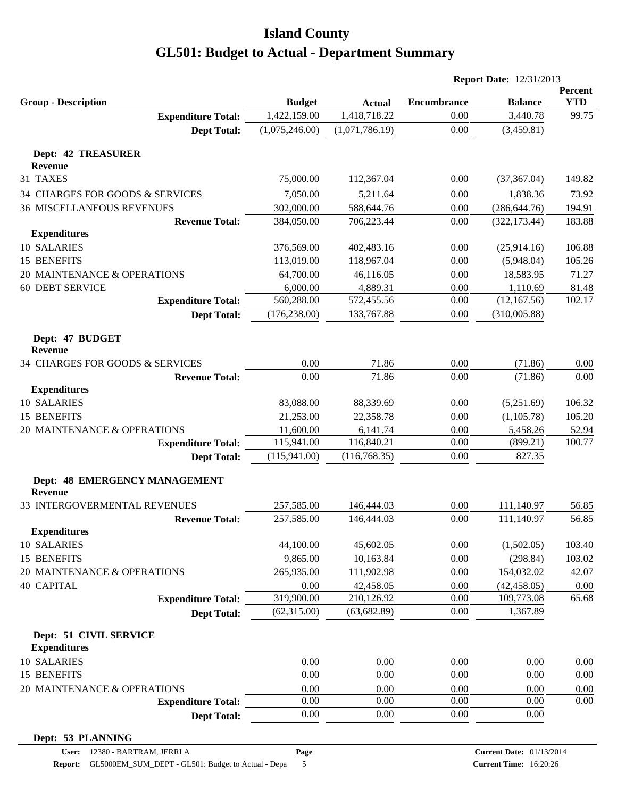|                                                 |                |                | <b>Report Date: 12/31/2013</b> |                |            |
|-------------------------------------------------|----------------|----------------|--------------------------------|----------------|------------|
|                                                 |                |                |                                |                | Percent    |
| <b>Group - Description</b>                      | <b>Budget</b>  | <b>Actual</b>  | <b>Encumbrance</b>             | <b>Balance</b> | <b>YTD</b> |
| <b>Expenditure Total:</b>                       | 1,422,159.00   | 1,418,718.22   | 0.00                           | 3,440.78       | 99.75      |
| <b>Dept Total:</b>                              | (1,075,246.00) | (1,071,786.19) | 0.00                           | (3,459.81)     |            |
| <b>Dept: 42 TREASURER</b>                       |                |                |                                |                |            |
| <b>Revenue</b>                                  |                |                |                                |                |            |
| 31 TAXES                                        | 75,000.00      | 112,367.04     | 0.00                           | (37, 367.04)   | 149.82     |
| 34 CHARGES FOR GOODS & SERVICES                 | 7,050.00       | 5,211.64       | 0.00                           | 1,838.36       | 73.92      |
| <b>36 MISCELLANEOUS REVENUES</b>                | 302,000.00     | 588,644.76     | 0.00                           | (286, 644.76)  | 194.91     |
| <b>Revenue Total:</b>                           | 384,050.00     | 706,223.44     | 0.00                           | (322, 173.44)  | 183.88     |
| <b>Expenditures</b>                             |                |                |                                |                |            |
| 10 SALARIES                                     | 376,569.00     | 402,483.16     | 0.00                           | (25,914.16)    | 106.88     |
| 15 BENEFITS                                     | 113,019.00     | 118,967.04     | 0.00                           | (5,948.04)     | 105.26     |
| 20 MAINTENANCE & OPERATIONS                     | 64,700.00      | 46,116.05      | 0.00                           | 18,583.95      | 71.27      |
| <b>60 DEBT SERVICE</b>                          | 6,000.00       | 4,889.31       | 0.00                           | 1,110.69       | 81.48      |
| <b>Expenditure Total:</b>                       | 560,288.00     | 572,455.56     | 0.00                           | (12,167.56)    | 102.17     |
| <b>Dept Total:</b>                              | (176, 238.00)  | 133,767.88     | 0.00                           | (310,005.88)   |            |
|                                                 |                |                |                                |                |            |
| Dept: 47 BUDGET<br><b>Revenue</b>               |                |                |                                |                |            |
| 34 CHARGES FOR GOODS & SERVICES                 | 0.00           | 71.86          | 0.00                           | (71.86)        | 0.00       |
| <b>Revenue Total:</b>                           | 0.00           | 71.86          | 0.00                           | (71.86)        | 0.00       |
| <b>Expenditures</b>                             |                |                |                                |                |            |
| 10 SALARIES                                     | 83,088.00      | 88,339.69      | 0.00                           | (5,251.69)     | 106.32     |
| 15 BENEFITS                                     | 21,253.00      | 22,358.78      | 0.00                           | (1,105.78)     | 105.20     |
| 20 MAINTENANCE & OPERATIONS                     | 11,600.00      | 6,141.74       | 0.00                           | 5,458.26       | 52.94      |
| <b>Expenditure Total:</b>                       | 115,941.00     | 116,840.21     | 0.00                           | (899.21)       | 100.77     |
| <b>Dept Total:</b>                              | (115,941.00)   | (116,768.35)   | 0.00                           | 827.35         |            |
|                                                 |                |                |                                |                |            |
| Dept: 48 EMERGENCY MANAGEMENT<br><b>Revenue</b> |                |                |                                |                |            |
| 33 INTERGOVERMENTAL REVENUES                    | 257,585.00     | 146,444.03     | 0.00                           | 111,140.97     | 56.85      |
| <b>Revenue Total:</b>                           | 257,585.00     | 146,444.03     | 0.00                           | 111,140.97     | 56.85      |
| <b>Expenditures</b>                             |                |                |                                |                |            |
| 10 SALARIES                                     | 44,100.00      | 45,602.05      | 0.00                           | (1,502.05)     | 103.40     |
| 15 BENEFITS                                     | 9,865.00       | 10,163.84      | 0.00                           | (298.84)       | 103.02     |
| 20 MAINTENANCE & OPERATIONS                     | 265,935.00     | 111,902.98     | 0.00                           | 154,032.02     | 42.07      |
| <b>40 CAPITAL</b>                               | 0.00           | 42,458.05      | 0.00                           | (42, 458.05)   | 0.00       |
| <b>Expenditure Total:</b>                       | 319,900.00     | 210,126.92     | 0.00                           | 109,773.08     | 65.68      |
| <b>Dept Total:</b>                              | (62,315.00)    | (63, 682.89)   | 0.00                           | 1,367.89       |            |
|                                                 |                |                |                                |                |            |
| Dept: 51 CIVIL SERVICE                          |                |                |                                |                |            |
| <b>Expenditures</b>                             |                |                |                                |                |            |
| 10 SALARIES                                     | 0.00           | 0.00           | 0.00                           | 0.00           | 0.00       |
| 15 BENEFITS                                     | 0.00           | 0.00           | 0.00                           | 0.00           | 0.00       |
| 20 MAINTENANCE & OPERATIONS                     | 0.00           | 0.00           | 0.00                           | 0.00           | 0.00       |
| <b>Expenditure Total:</b>                       | 0.00           | 0.00           | 0.00                           | 0.00           | 0.00       |
| <b>Dept Total:</b>                              | 0.00           | 0.00           | 0.00                           | 0.00           |            |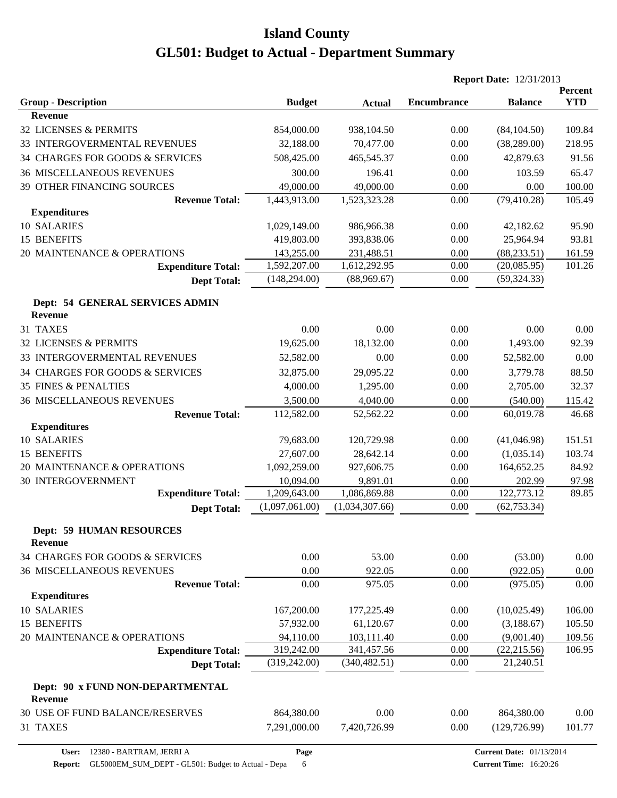|                                                    |                |                | <b>Report Date: 12/31/2013</b> |                |                       |
|----------------------------------------------------|----------------|----------------|--------------------------------|----------------|-----------------------|
| <b>Group - Description</b>                         | <b>Budget</b>  | <b>Actual</b>  | <b>Encumbrance</b>             | <b>Balance</b> | Percent<br><b>YTD</b> |
| <b>Revenue</b>                                     |                |                |                                |                |                       |
| 32 LICENSES & PERMITS                              | 854,000.00     | 938,104.50     | 0.00                           | (84, 104.50)   | 109.84                |
| 33 INTERGOVERMENTAL REVENUES                       | 32,188.00      | 70,477.00      | 0.00                           | (38, 289.00)   | 218.95                |
| 34 CHARGES FOR GOODS & SERVICES                    | 508,425.00     | 465,545.37     | 0.00                           | 42,879.63      | 91.56                 |
| <b>36 MISCELLANEOUS REVENUES</b>                   | 300.00         | 196.41         | 0.00                           | 103.59         | 65.47                 |
| 39 OTHER FINANCING SOURCES                         | 49,000.00      | 49,000.00      | 0.00                           | 0.00           | 100.00                |
| <b>Revenue Total:</b>                              | 1,443,913.00   | 1,523,323.28   | 0.00                           | (79, 410.28)   | 105.49                |
| <b>Expenditures</b>                                |                |                |                                |                |                       |
| 10 SALARIES                                        | 1,029,149.00   | 986,966.38     | 0.00                           | 42,182.62      | 95.90                 |
| 15 BENEFITS                                        | 419,803.00     | 393,838.06     | 0.00                           | 25,964.94      | 93.81                 |
| 20 MAINTENANCE & OPERATIONS                        | 143,255.00     | 231,488.51     | 0.00                           | (88, 233.51)   | 161.59                |
| <b>Expenditure Total:</b>                          | 1,592,207.00   | 1,612,292.95   | 0.00                           | (20,085.95)    | 101.26                |
| <b>Dept Total:</b>                                 | (148, 294.00)  | (88,969.67)    | 0.00                           | (59, 324.33)   |                       |
| Dept: 54 GENERAL SERVICES ADMIN<br><b>Revenue</b>  |                |                |                                |                |                       |
| 31 TAXES                                           | 0.00           | 0.00           | 0.00                           | 0.00           | 0.00                  |
| <b>32 LICENSES &amp; PERMITS</b>                   | 19,625.00      | 18,132.00      | 0.00                           | 1,493.00       | 92.39                 |
| 33 INTERGOVERMENTAL REVENUES                       | 52,582.00      | 0.00           | 0.00                           | 52,582.00      | 0.00                  |
| 34 CHARGES FOR GOODS & SERVICES                    | 32,875.00      | 29,095.22      | 0.00                           | 3,779.78       | 88.50                 |
| <b>35 FINES &amp; PENALTIES</b>                    | 4,000.00       | 1,295.00       | 0.00                           | 2,705.00       | 32.37                 |
| <b>36 MISCELLANEOUS REVENUES</b>                   | 3,500.00       | 4,040.00       | 0.00                           | (540.00)       | 115.42                |
| <b>Revenue Total:</b>                              | 112,582.00     | 52,562.22      | 0.00                           | 60,019.78      | 46.68                 |
| <b>Expenditures</b>                                |                |                |                                |                |                       |
| 10 SALARIES                                        | 79,683.00      | 120,729.98     | 0.00                           | (41,046.98)    | 151.51                |
| 15 BENEFITS                                        | 27,607.00      | 28,642.14      | 0.00                           | (1,035.14)     | 103.74                |
| 20 MAINTENANCE & OPERATIONS                        | 1,092,259.00   | 927,606.75     | 0.00                           | 164,652.25     | 84.92                 |
| <b>30 INTERGOVERNMENT</b>                          | 10,094.00      | 9,891.01       | 0.00                           | 202.99         | 97.98                 |
| <b>Expenditure Total:</b>                          | 1,209,643.00   | 1,086,869.88   | 0.00                           | 122,773.12     | 89.85                 |
| <b>Dept Total:</b>                                 | (1,097,061.00) | (1,034,307.66) | 0.00                           | (62, 753.34)   |                       |
| <b>Dept: 59 HUMAN RESOURCES</b><br><b>Revenue</b>  |                |                |                                |                |                       |
| 34 CHARGES FOR GOODS & SERVICES                    | 0.00           | 53.00          | 0.00                           | (53.00)        | 0.00                  |
| <b>36 MISCELLANEOUS REVENUES</b>                   | 0.00           | 922.05         | 0.00                           | (922.05)       | 0.00                  |
| <b>Revenue Total:</b>                              | 0.00           | 975.05         | 0.00                           | (975.05)       | 0.00                  |
| <b>Expenditures</b>                                |                |                |                                |                |                       |
| 10 SALARIES                                        | 167,200.00     | 177,225.49     | 0.00                           | (10,025.49)    | 106.00                |
| 15 BENEFITS                                        | 57,932.00      | 61,120.67      | 0.00                           | (3,188.67)     | 105.50                |
| 20 MAINTENANCE & OPERATIONS                        | 94,110.00      | 103,111.40     | 0.00                           | (9,001.40)     | 109.56                |
| <b>Expenditure Total:</b>                          | 319,242.00     | 341,457.56     | 0.00                           | (22, 215.56)   | 106.95                |
| <b>Dept Total:</b>                                 | (319, 242.00)  | (340, 482.51)  | 0.00                           | 21,240.51      |                       |
| Dept: 90 x FUND NON-DEPARTMENTAL<br><b>Revenue</b> |                |                |                                |                |                       |
| 30 USE OF FUND BALANCE/RESERVES                    | 864,380.00     | 0.00           | 0.00                           | 864,380.00     | 0.00                  |
| 31 TAXES                                           | 7,291,000.00   | 7,420,726.99   | 0.00                           | (129, 726.99)  | 101.77                |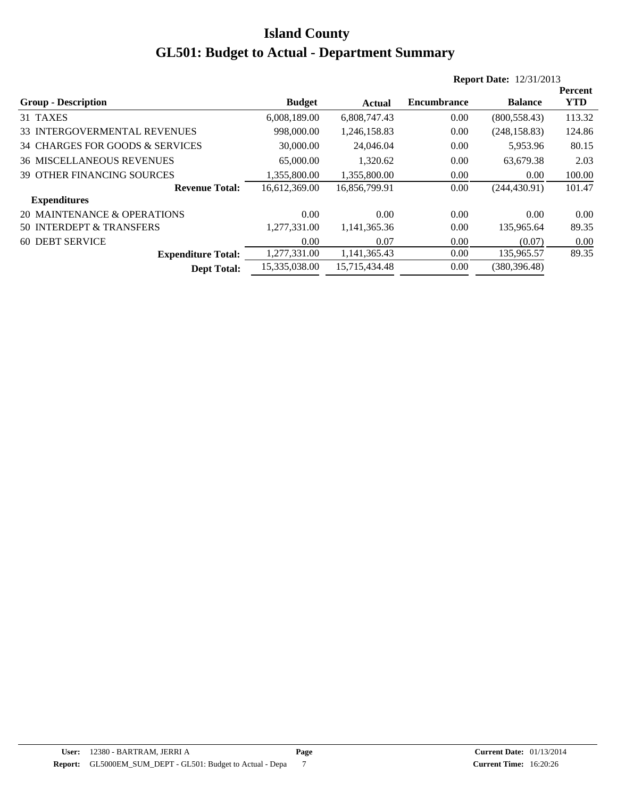|                                   |               |               |                    | <b>Report Date: 12/31/2013</b> |                |
|-----------------------------------|---------------|---------------|--------------------|--------------------------------|----------------|
|                                   |               |               |                    |                                | <b>Percent</b> |
| <b>Group - Description</b>        | <b>Budget</b> | Actual        | <b>Encumbrance</b> | <b>Balance</b>                 | <b>YTD</b>     |
| 31 TAXES                          | 6,008,189.00  | 6,808,747.43  | 0.00               | (800, 558.43)                  | 113.32         |
| 33 INTERGOVERMENTAL REVENUES      | 998,000.00    | 1,246,158.83  | 0.00               | (248, 158.83)                  | 124.86         |
| 34 CHARGES FOR GOODS & SERVICES   | 30,000.00     | 24,046.04     | 0.00               | 5,953.96                       | 80.15          |
| <b>36 MISCELLANEOUS REVENUES</b>  | 65,000.00     | 1,320.62      | 0.00               | 63,679.38                      | 2.03           |
| <b>39 OTHER FINANCING SOURCES</b> | 1,355,800.00  | 1.355.800.00  | 0.00               | 0.00                           | 100.00         |
| <b>Revenue Total:</b>             | 16,612,369.00 | 16,856,799.91 | 0.00               | (244, 430.91)                  | 101.47         |
| <b>Expenditures</b>               |               |               |                    |                                |                |
| 20 MAINTENANCE & OPERATIONS       | 0.00          | 0.00          | 0.00               | 0.00                           | 0.00           |
| 50 INTERDEPT & TRANSFERS          | 1,277,331.00  | 1,141,365.36  | 0.00               | 135,965.64                     | 89.35          |
| <b>60 DEBT SERVICE</b>            | 0.00          | 0.07          | 0.00               | (0.07)                         | 0.00           |
| <b>Expenditure Total:</b>         | 1,277,331.00  | 1,141,365.43  | 0.00               | 135,965.57                     | 89.35          |
| <b>Dept Total:</b>                | 15,335,038.00 | 15.715.434.48 | 0.00               | (380.396.48)                   |                |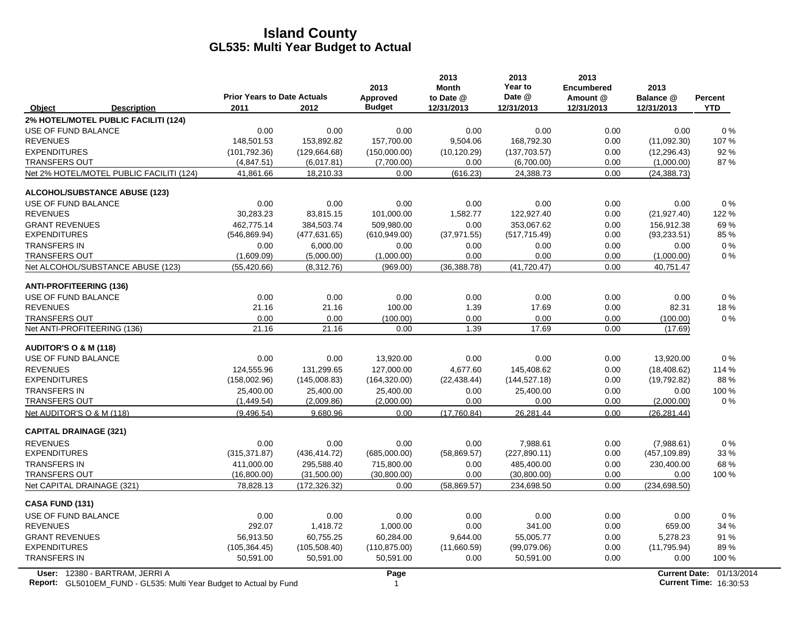|                                  |                                                                                                             | <b>Prior Years to Date Actuals</b> |               | 2013<br><b>Approved</b> | 2013<br><b>Month</b><br>to Date @ | 2013<br>Year to<br>Date @ | 2013<br><b>Encumbered</b><br>Amount @ | 2013<br>Balance @ | Percent                                                   |
|----------------------------------|-------------------------------------------------------------------------------------------------------------|------------------------------------|---------------|-------------------------|-----------------------------------|---------------------------|---------------------------------------|-------------------|-----------------------------------------------------------|
| Object                           | <b>Description</b>                                                                                          | 2011                               | 2012          | <b>Budget</b>           | 12/31/2013                        | 12/31/2013                | 12/31/2013                            | 12/31/2013        | <b>YTD</b>                                                |
|                                  | 2% HOTEL/MOTEL PUBLIC FACILITI (124)                                                                        |                                    |               |                         |                                   |                           |                                       |                   |                                                           |
| USE OF FUND BALANCE              |                                                                                                             | 0.00                               | 0.00          | 0.00                    | 0.00                              | 0.00                      | 0.00                                  | 0.00              | $0\%$                                                     |
| <b>REVENUES</b>                  |                                                                                                             | 148,501.53                         | 153,892.82    | 157,700.00              | 9,504.06                          | 168,792.30                | 0.00                                  | (11,092.30)       | 107%                                                      |
| <b>EXPENDITURES</b>              |                                                                                                             | (101, 792.36)                      | (129, 664.68) | (150,000.00)            | (10, 120.29)                      | (137, 703.57)             | 0.00                                  | (12, 296.43)      | 92%                                                       |
| <b>TRANSFERS OUT</b>             |                                                                                                             | (4,847.51)                         | (6,017.81)    | (7,700.00)              | 0.00                              | (6,700.00)                | 0.00                                  | (1,000.00)        | 87%                                                       |
|                                  | Net 2% HOTEL/MOTEL PUBLIC FACILITI (124)                                                                    | 41,861.66                          | 18,210.33     | 0.00                    | (616.23)                          | 24,388.73                 | 0.00                                  | (24, 388.73)      |                                                           |
|                                  | <b>ALCOHOL/SUBSTANCE ABUSE (123)</b>                                                                        |                                    |               |                         |                                   |                           |                                       |                   |                                                           |
| USE OF FUND BALANCE              |                                                                                                             | 0.00                               | 0.00          | 0.00                    | 0.00                              | 0.00                      | 0.00                                  | 0.00              | 0%                                                        |
| <b>REVENUES</b>                  |                                                                                                             | 30,283.23                          | 83,815.15     | 101,000.00              | 1,582.77                          | 122,927.40                | 0.00                                  | (21, 927.40)      | 122 %                                                     |
| <b>GRANT REVENUES</b>            |                                                                                                             | 462.775.14                         | 384.503.74    | 509.980.00              | 0.00                              | 353.067.62                | 0.00                                  | 156,912.38        | 69%                                                       |
| <b>EXPENDITURES</b>              |                                                                                                             | (546, 869.94)                      | (477, 631.65) | (610, 949.00)           | (37, 971.55)                      | (517, 715.49)             | 0.00                                  | (93, 233.51)      | 85 %                                                      |
| <b>TRANSFERS IN</b>              |                                                                                                             | 0.00                               | 6,000.00      | 0.00                    | 0.00                              | 0.00                      | 0.00                                  | 0.00              | $0\%$                                                     |
| <b>TRANSFERS OUT</b>             |                                                                                                             | (1,609.09)                         | (5,000.00)    | (1,000.00)              | 0.00                              | 0.00                      | 0.00                                  | (1,000.00)        | $0\%$                                                     |
|                                  | Net ALCOHOL/SUBSTANCE ABUSE (123)                                                                           | (55, 420.66)                       | (8,312.76)    | (969.00)                | (36, 388.78)                      | (41, 720.47)              | 0.00                                  | 40,751.47         |                                                           |
| <b>ANTI-PROFITEERING (136)</b>   |                                                                                                             |                                    |               |                         |                                   |                           |                                       |                   |                                                           |
| USE OF FUND BALANCE              |                                                                                                             | 0.00                               | 0.00          | 0.00                    | 0.00                              | 0.00                      | 0.00                                  | 0.00              | $0\%$                                                     |
| <b>REVENUES</b>                  |                                                                                                             | 21.16                              | 21.16         | 100.00                  | 1.39                              | 17.69                     | 0.00                                  | 82.31             | 18%                                                       |
| <b>TRANSFERS OUT</b>             |                                                                                                             | 0.00                               | 0.00          | (100.00)                | 0.00                              | 0.00                      | 0.00                                  | (100.00)          | 0%                                                        |
| Net ANTI-PROFITEERING (136)      |                                                                                                             | 21.16                              | 21.16         | 0.00                    | 1.39                              | 17.69                     | 0.00                                  | (17.69)           |                                                           |
| <b>AUDITOR'S O &amp; M (118)</b> |                                                                                                             |                                    |               |                         |                                   |                           |                                       |                   |                                                           |
| USE OF FUND BALANCE              |                                                                                                             | 0.00                               | 0.00          | 13,920.00               | 0.00                              | 0.00                      | 0.00                                  | 13,920.00         | 0%                                                        |
| <b>REVENUES</b>                  |                                                                                                             | 124,555.96                         | 131,299.65    | 127,000.00              | 4,677.60                          | 145,408.62                | 0.00                                  | (18, 408.62)      | 114 %                                                     |
| <b>EXPENDITURES</b>              |                                                                                                             | (158,002.96)                       | (145,008.83)  | (164, 320.00)           | (22, 438.44)                      | (144, 527.18)             | 0.00                                  | (19,792.82)       | 88%                                                       |
| <b>TRANSFERS IN</b>              |                                                                                                             | 25,400.00                          | 25,400.00     | 25,400.00               | 0.00                              | 25,400.00                 | 0.00                                  | 0.00              | 100 %                                                     |
| <b>TRANSFERS OUT</b>             |                                                                                                             | (1,449.54)                         | (2,009.86)    | (2,000.00)              | 0.00                              | 0.00                      | 0.00                                  | (2,000.00)        | $0\%$                                                     |
| Net AUDITOR'S O & M (118)        |                                                                                                             | (9,496.54)                         | 9,680.96      | 0.00                    | (17,760.84)                       | 26,281.44                 | 0.00                                  | (26, 281.44)      |                                                           |
| <b>CAPITAL DRAINAGE (321)</b>    |                                                                                                             |                                    |               |                         |                                   |                           |                                       |                   |                                                           |
| <b>REVENUES</b>                  |                                                                                                             | 0.00                               | 0.00          | 0.00                    | 0.00                              | 7,988.61                  | 0.00                                  | (7,988.61)        | 0%                                                        |
| <b>EXPENDITURES</b>              |                                                                                                             | (315, 371.87)                      | (436, 414.72) | (685,000.00)            | (58, 869.57)                      | (227, 890.11)             | 0.00                                  | (457, 109.89)     | 33 %                                                      |
| <b>TRANSFERS IN</b>              |                                                                                                             | 411,000.00                         | 295,588.40    | 715,800.00              | 0.00                              | 485,400.00                | 0.00                                  | 230,400.00        | 68 %                                                      |
| <b>TRANSFERS OUT</b>             |                                                                                                             | (16,800.00)                        | (31,500.00)   | (30,800.00)             | 0.00                              | (30,800.00)               | 0.00                                  | 0.00              | 100 %                                                     |
| Net CAPITAL DRAINAGE (321)       |                                                                                                             | 78,828.13                          | (172, 326.32) | 0.00                    | (58, 869.57)                      | 234,698.50                | 0.00                                  | (234, 698.50)     |                                                           |
| CASA FUND (131)                  |                                                                                                             |                                    |               |                         |                                   |                           |                                       |                   |                                                           |
| USE OF FUND BALANCE              |                                                                                                             | 0.00                               | 0.00          | 0.00                    | 0.00                              | 0.00                      | 0.00                                  | 0.00              | 0%                                                        |
| <b>REVENUES</b>                  |                                                                                                             | 292.07                             | 1,418.72      | 1,000.00                | 0.00                              | 341.00                    | 0.00                                  | 659.00            | 34 %                                                      |
| <b>GRANT REVENUES</b>            |                                                                                                             | 56,913.50                          | 60,755.25     | 60,284.00               | 9,644.00                          | 55,005.77                 | 0.00                                  | 5,278.23          | 91 %                                                      |
| <b>EXPENDITURES</b>              |                                                                                                             | (105, 364.45)                      | (105, 508.40) | (110, 875.00)           | (11,660.59)                       | (99,079.06)               | 0.00                                  | (11, 795.94)      | 89%                                                       |
| <b>TRANSFERS IN</b>              |                                                                                                             | 50,591.00                          | 50,591.00     | 50,591.00               | 0.00                              | 50,591.00                 | 0.00                                  | 0.00              | 100 %                                                     |
|                                  | User: 12380 - BARTRAM, JERRI A<br><b>Report:</b> GL5010EM FUND - GL535: Multi Year Budget to Actual by Fund |                                    |               | Page<br>1               |                                   |                           |                                       |                   | Current Date: 01/13/2014<br><b>Current Time: 16:30:53</b> |

**Report:** GL5010EM\_FUND - GL535: Multi Year Budget to Actual by Fund 16:30:539:53 Applement Time: 16:30:53 Applement Time: 16:30:53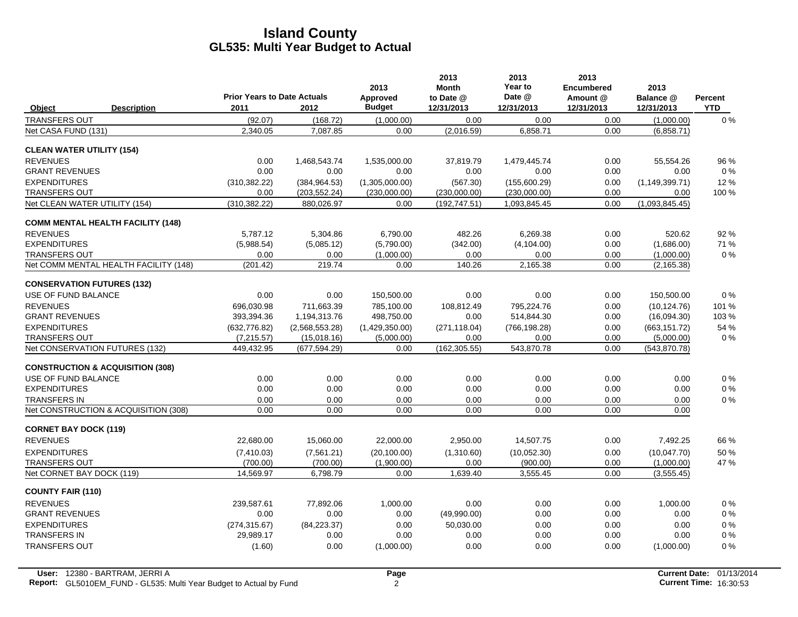|                                   |                                             | <b>Prior Years to Date Actuals</b> |                | 2013<br>Approved | 2013<br><b>Month</b><br>to Date @ | 2013<br>Year to<br>Date @ | 2013<br><b>Encumbered</b><br>Amount @ | 2013<br>Balance @ | Percent    |
|-----------------------------------|---------------------------------------------|------------------------------------|----------------|------------------|-----------------------------------|---------------------------|---------------------------------------|-------------------|------------|
| Object                            | <b>Description</b>                          | 2011                               | 2012           | <b>Budget</b>    | 12/31/2013                        | 12/31/2013                | 12/31/2013                            | 12/31/2013        | <b>YTD</b> |
| <b>TRANSFERS OUT</b>              |                                             | (92.07)                            | (168.72)       | (1,000.00)       | 0.00                              | 0.00                      | 0.00                                  | (1,000.00)        | $0\%$      |
| Net CASA FUND (131)               |                                             | 2,340.05                           | 7,087.85       | 0.00             | (2,016.59)                        | 6,858.71                  | 0.00                                  | (6,858.71)        |            |
| <b>CLEAN WATER UTILITY (154)</b>  |                                             |                                    |                |                  |                                   |                           |                                       |                   |            |
| <b>REVENUES</b>                   |                                             | 0.00                               | 1,468,543.74   | 1,535,000.00     | 37,819.79                         | 1,479,445.74              | 0.00                                  | 55,554.26         | 96 %       |
| <b>GRANT REVENUES</b>             |                                             | 0.00                               | 0.00           | 0.00             | 0.00                              | 0.00                      | 0.00                                  | 0.00              | $0\%$      |
| <b>EXPENDITURES</b>               |                                             | (310, 382.22)                      | (384, 964.53)  | (1,305,000.00)   | (567.30)                          | (155,600.29)              | 0.00                                  | (1, 149, 399.71)  | 12%        |
| <b>TRANSFERS OUT</b>              |                                             | 0.00                               | (203, 552.24)  | (230,000.00)     | (230,000.00)                      | (230,000.00)              | 0.00                                  | 0.00              | 100 %      |
| Net CLEAN WATER UTILITY (154)     |                                             | (310, 382.22)                      | 880,026.97     | 0.00             | (192, 747.51)                     | 1,093,845.45              | 0.00                                  | (1,093,845.45)    |            |
|                                   | <b>COMM MENTAL HEALTH FACILITY (148)</b>    |                                    |                |                  |                                   |                           |                                       |                   |            |
| <b>REVENUES</b>                   |                                             | 5.787.12                           | 5.304.86       | 6,790.00         | 482.26                            | 6,269.38                  | 0.00                                  | 520.62            | 92 %       |
| <b>EXPENDITURES</b>               |                                             | (5,988.54)                         | (5,085.12)     | (5,790.00)       | (342.00)                          | (4, 104.00)               | 0.00                                  | (1,686.00)        | 71 %       |
| <b>TRANSFERS OUT</b>              |                                             | 0.00                               | 0.00           | (1,000.00)       | 0.00                              | 0.00                      | 0.00                                  | (1,000.00)        | $0\%$      |
|                                   | Net COMM MENTAL HEALTH FACILITY (148)       | (201.42)                           | 219.74         | 0.00             | 140.26                            | 2,165.38                  | 0.00                                  | (2, 165.38)       |            |
| <b>CONSERVATION FUTURES (132)</b> |                                             |                                    |                |                  |                                   |                           |                                       |                   |            |
| USE OF FUND BALANCE               |                                             | 0.00                               | 0.00           | 150,500.00       | 0.00                              | 0.00                      | 0.00                                  | 150,500.00        | 0%         |
| <b>REVENUES</b>                   |                                             | 696,030.98                         | 711,663.39     | 785,100.00       | 108,812.49                        | 795,224.76                | 0.00                                  | (10, 124.76)      | 101 %      |
| <b>GRANT REVENUES</b>             |                                             | 393,394.36                         | 1,194,313.76   | 498,750.00       | 0.00                              | 514,844.30                | 0.00                                  | (16,094.30)       | 103 %      |
| <b>EXPENDITURES</b>               |                                             | (632, 776.82)                      | (2,568,553.28) | (1,429,350.00)   | (271, 118.04)                     | (766, 198.28)             | 0.00                                  | (663, 151.72)     | 54 %       |
| <b>TRANSFERS OUT</b>              |                                             | (7,215.57)                         | (15,018.16)    | (5,000.00)       | 0.00                              | 0.00                      | 0.00                                  | (5,000.00)        | $0\%$      |
| Net CONSERVATION FUTURES (132)    |                                             | 449,432.95                         | (677, 594.29)  | 0.00             | (162, 305.55)                     | 543,870.78                | 0.00                                  | (543, 870.78)     |            |
|                                   | <b>CONSTRUCTION &amp; ACQUISITION (308)</b> |                                    |                |                  |                                   |                           |                                       |                   |            |
| USE OF FUND BALANCE               |                                             | 0.00                               | 0.00           | 0.00             | 0.00                              | 0.00                      | 0.00                                  | 0.00              | $0\%$      |
| <b>EXPENDITURES</b>               |                                             | 0.00                               | 0.00           | 0.00             | 0.00                              | 0.00                      | 0.00                                  | 0.00              | $0\%$      |
| <b>TRANSFERS IN</b>               |                                             | 0.00                               | 0.00           | 0.00             | 0.00                              | 0.00                      | 0.00                                  | 0.00              | $0\%$      |
|                                   | Net CONSTRUCTION & ACQUISITION (308)        | 0.00                               | 0.00           | 0.00             | 0.00                              | 0.00                      | 0.00                                  | 0.00              |            |
| <b>CORNET BAY DOCK (119)</b>      |                                             |                                    |                |                  |                                   |                           |                                       |                   |            |
| <b>REVENUES</b>                   |                                             | 22,680.00                          | 15,060.00      | 22,000.00        | 2,950.00                          | 14,507.75                 | 0.00                                  | 7,492.25          | 66 %       |
| <b>EXPENDITURES</b>               |                                             | (7,410.03)                         | (7,561.21)     | (20, 100.00)     | (1,310.60)                        | (10,052.30)               | 0.00                                  | (10,047.70)       | 50 %       |
| <b>TRANSFERS OUT</b>              |                                             | (700.00)                           | (700.00)       | (1,900.00)       | 0.00                              | (900.00)                  | 0.00                                  | (1,000.00)        | 47 %       |
| Net CORNET BAY DOCK (119)         |                                             | 14,569.97                          | 6,798.79       | 0.00             | 1,639.40                          | 3,555.45                  | 0.00                                  | (3,555.45)        |            |
| <b>COUNTY FAIR (110)</b>          |                                             |                                    |                |                  |                                   |                           |                                       |                   |            |
| <b>REVENUES</b>                   |                                             | 239.587.61                         | 77,892.06      | 1,000.00         | 0.00                              | 0.00                      | 0.00                                  | 1.000.00          | $0\%$      |
| <b>GRANT REVENUES</b>             |                                             | 0.00                               | 0.00           | 0.00             | (49,990.00)                       | 0.00                      | 0.00                                  | 0.00              | 0%         |
| <b>EXPENDITURES</b>               |                                             | (274, 315.67)                      | (84, 223.37)   | 0.00             | 50,030.00                         | 0.00                      | 0.00                                  | 0.00              | $0\%$      |
| <b>TRANSFERS IN</b>               |                                             | 29,989.17                          | 0.00           | 0.00             | 0.00                              | 0.00                      | 0.00                                  | 0.00              | 0%         |
| <b>TRANSFERS OUT</b>              |                                             | (1.60)                             | 0.00           | (1,000.00)       | 0.00                              | 0.00                      | 0.00                                  | (1,000.00)        | 0%         |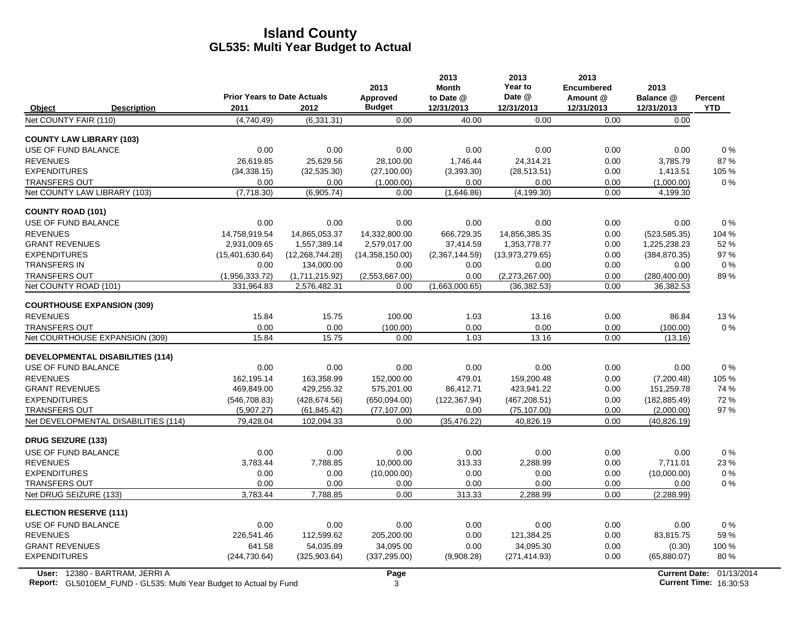|                                               |                                         |                                    |                                | 2013                   | 2013<br><b>Month</b>   | 2013<br>Year to                | 2013<br><b>Encumbered</b> | 2013                       |                |
|-----------------------------------------------|-----------------------------------------|------------------------------------|--------------------------------|------------------------|------------------------|--------------------------------|---------------------------|----------------------------|----------------|
|                                               |                                         | <b>Prior Years to Date Actuals</b> |                                | Approved               | to Date @              | Date @                         | Amount @                  | Balance @                  | <b>Percent</b> |
| Object                                        | <b>Description</b>                      | 2011                               | 2012                           | <b>Budget</b>          | 12/31/2013             | 12/31/2013                     | 12/31/2013                | 12/31/2013                 | <b>YTD</b>     |
| Net COUNTY FAIR (110)                         |                                         | (4,740.49)                         | (6,331.31)                     | 0.00                   | 40.00                  | 0.00                           | 0.00                      | 0.00                       |                |
| <b>COUNTY LAW LIBRARY (103)</b>               |                                         |                                    |                                |                        |                        |                                |                           |                            |                |
| USE OF FUND BALANCE                           |                                         | 0.00                               | 0.00                           | 0.00                   | 0.00                   | 0.00                           | 0.00                      | 0.00                       | $0\%$          |
| <b>REVENUES</b>                               |                                         | 26.619.85                          | 25.629.56                      | 28.100.00              | 1,746.44               | 24,314.21                      | 0.00                      | 3,785.79                   | 87%            |
| <b>EXPENDITURES</b>                           |                                         | (34, 338.15)                       | (32, 535.30)                   | (27, 100.00)           | (3,393.30)             | (28, 513.51)                   | 0.00                      | 1,413.51                   | 105 %          |
| <b>TRANSFERS OUT</b>                          |                                         | 0.00                               | 0.00                           | (1,000.00)             | 0.00                   | 0.00                           | 0.00                      | (1,000.00)                 | $0\%$          |
| Net COUNTY LAW LIBRARY (103)                  |                                         | (7,718.30)                         | (6,905.74)                     | 0.00                   | (1,646.86)             | (4, 199.30)                    | 0.00                      | 4,199.30                   |                |
| <b>COUNTY ROAD (101)</b>                      |                                         |                                    |                                |                        |                        |                                |                           |                            |                |
| <b>USE OF FUND BALANCE</b>                    |                                         | 0.00                               | 0.00                           | 0.00                   | 0.00                   | 0.00                           | 0.00                      | 0.00                       | $0\%$          |
| <b>REVENUES</b>                               |                                         | 14.758.919.54                      | 14.865.053.37                  | 14.332.800.00          | 666.729.35             | 14.856.385.35                  | 0.00                      | (523.585.35)               | 104 %          |
| <b>GRANT REVENUES</b>                         |                                         | 2,931,009.65                       | 1,557,389.14                   | 2,579,017.00           | 37,414.59              | 1,353,778.77                   | 0.00                      | 1,225,238.23               | 52 %           |
| <b>EXPENDITURES</b>                           |                                         | (15,401,630.64)                    | (12, 268, 744.28)              | (14,358,150.00)        | (2,367,144.59)         | (13,973,279.65)                | 0.00                      | (384, 870.35)              | 97 %           |
| <b>TRANSFERS IN</b>                           |                                         | 0.00                               | 134,000.00                     | 0.00                   | 0.00                   | 0.00                           | 0.00                      | 0.00                       | $0\%$          |
| <b>TRANSFERS OUT</b><br>Net COUNTY ROAD (101) |                                         | (1,956,333.72)<br>331,964.83       | (1,711,215.92)<br>2,576,482.31 | (2,553,667.00)<br>0.00 | 0.00<br>(1,663,000.65) | (2,273,267.00)<br>(36, 382.53) | 0.00<br>0.00              | (280, 400.00)<br>36,382.53 | 89%            |
|                                               |                                         |                                    |                                |                        |                        |                                |                           |                            |                |
| <b>COURTHOUSE EXPANSION (309)</b>             |                                         |                                    |                                |                        |                        |                                |                           |                            |                |
| <b>REVENUES</b>                               |                                         | 15.84                              | 15.75                          | 100.00                 | 1.03                   | 13.16                          | 0.00                      | 86.84                      | 13%            |
| <b>TRANSFERS OUT</b>                          |                                         | 0.00                               | 0.00                           | (100.00)               | 0.00                   | 0.00                           | 0.00                      | (100.00)                   | 0%             |
| Net COURTHOUSE EXPANSION (309)                |                                         | 15.84                              | 15.75                          | 0.00                   | 1.03                   | 13.16                          | 0.00                      | (13.16)                    |                |
|                                               | <b>DEVELOPMENTAL DISABILITIES (114)</b> |                                    |                                |                        |                        |                                |                           |                            |                |
| USE OF FUND BALANCE                           |                                         | 0.00                               | 0.00                           | 0.00                   | 0.00                   | 0.00                           | 0.00                      | 0.00                       | $0\%$          |
| <b>REVENUES</b>                               |                                         | 162,195.14                         | 163,358.99                     | 152,000.00             | 479.01                 | 159,200.48                     | 0.00                      | (7,200.48)                 | 105 %          |
| <b>GRANT REVENUES</b>                         |                                         | 469,849.00                         | 429,255.32                     | 575,201.00             | 86,412.71              | 423,941.22                     | 0.00                      | 151,259.78                 | 74 %           |
| <b>EXPENDITURES</b>                           |                                         | (546, 708.83)                      | (428, 674.56)                  | (650,094.00)           | (122, 367.94)          | (467, 208.51)                  | 0.00                      | (182, 885.49)              | 72%            |
| <b>TRANSFERS OUT</b>                          |                                         | (5,907.27)                         | (61, 845.42)                   | (77, 107.00)           | 0.00                   | (75, 107.00)                   | 0.00                      | (2,000.00)                 | 97 %           |
|                                               | Net DEVELOPMENTAL DISABILITIES (114)    | 79,428.04                          | 102,094.33                     | 0.00                   | (35, 476.22)           | 40,826.19                      | 0.00                      | (40, 826.19)               |                |
| <b>DRUG SEIZURE (133)</b>                     |                                         |                                    |                                |                        |                        |                                |                           |                            |                |
| <b>USE OF FUND BALANCE</b>                    |                                         | 0.00                               | 0.00                           | 0.00                   | 0.00                   | 0.00                           | 0.00                      | 0.00                       | 0%             |
| <b>REVENUES</b>                               |                                         | 3,783.44                           | 7,788.85                       | 10,000.00              | 313.33                 | 2,288.99                       | 0.00                      | 7,711.01                   | 23%            |
| <b>EXPENDITURES</b>                           |                                         | 0.00                               | 0.00                           | (10,000.00)            | 0.00                   | 0.00                           | 0.00                      | (10,000.00)                | $0\%$          |
| <b>TRANSFERS OUT</b>                          |                                         | 0.00                               | 0.00                           | 0.00                   | 0.00                   | 0.00                           | 0.00                      | 0.00                       | $0\%$          |
| Net DRUG SEIZURE (133)                        |                                         | 3.783.44                           | 7,788.85                       | 0.00                   | 313.33                 | 2,288.99                       | 0.00                      | (2, 288.99)                |                |
| <b>ELECTION RESERVE (111)</b>                 |                                         |                                    |                                |                        |                        |                                |                           |                            |                |
| USE OF FUND BALANCE                           |                                         | 0.00                               | 0.00                           | 0.00                   | 0.00                   | 0.00                           | 0.00                      | 0.00                       | $0\%$          |
| <b>REVENUES</b>                               |                                         | 226,541.46                         | 112,599.62                     | 205,200.00             | 0.00                   | 121,384.25                     | 0.00                      | 83,815.75                  | 59%            |
| <b>GRANT REVENUES</b>                         |                                         | 641.58                             | 54.035.89                      | 34.095.00              | 0.00                   | 34.095.30                      | 0.00                      | (0.30)                     | 100 %          |
| <b>EXPENDITURES</b>                           |                                         | (244, 730.64)                      | (325, 903.64)                  | (337, 295.00)          | (9,908.28)             | (271, 414.93)                  | 0.00                      | (65,880.07)                | 80%            |
|                                               |                                         |                                    |                                |                        |                        |                                |                           |                            |                |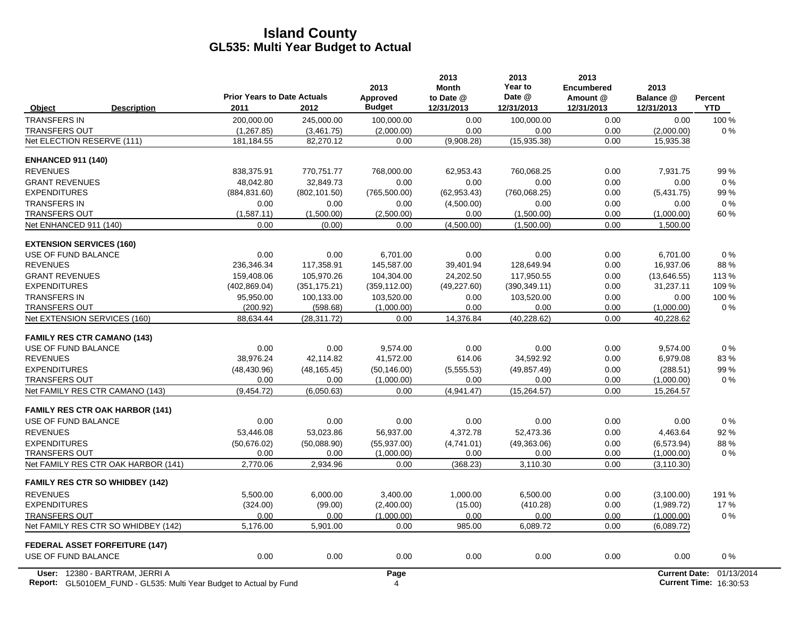|                                        | <b>Prior Years to Date Actuals</b> |               | 2013                      | 2013<br><b>Month</b>    | 2013<br>Year to      | 2013<br><b>Encumbered</b> | 2013                    |                       |
|----------------------------------------|------------------------------------|---------------|---------------------------|-------------------------|----------------------|---------------------------|-------------------------|-----------------------|
| Object<br><b>Description</b>           | 2011                               | 2012          | Approved<br><b>Budget</b> | to Date @<br>12/31/2013 | Date @<br>12/31/2013 | Amount @<br>12/31/2013    | Balance @<br>12/31/2013 | Percent<br><b>YTD</b> |
| <b>TRANSFERS IN</b>                    | 200,000.00                         | 245,000.00    | 100,000.00                | 0.00                    | 100,000.00           | 0.00                      | 0.00                    | 100 %                 |
| <b>TRANSFERS OUT</b>                   | (1, 267.85)                        | (3,461.75)    | (2,000.00)                | 0.00                    | 0.00                 | 0.00                      | (2,000.00)              | $0\%$                 |
| Net ELECTION RESERVE (111)             | 181, 184. 55                       | 82,270.12     | 0.00                      | (9,908.28)              | (15,935.38)          | 0.00                      | 15,935.38               |                       |
| <b>ENHANCED 911 (140)</b>              |                                    |               |                           |                         |                      |                           |                         |                       |
| <b>REVENUES</b>                        | 838,375.91                         | 770,751.77    | 768,000.00                | 62,953.43               | 760,068.25           | 0.00                      | 7,931.75                | 99 %                  |
| <b>GRANT REVENUES</b>                  | 48.042.80                          | 32.849.73     | 0.00                      | 0.00                    | 0.00                 | 0.00                      | 0.00                    | $0\%$                 |
| <b>EXPENDITURES</b>                    | (884, 831.60)                      | (802, 101.50) | (765, 500.00)             | (62, 953.43)            | (760,068.25)         | 0.00                      | (5,431.75)              | 99 %                  |
| <b>TRANSFERS IN</b>                    | 0.00                               | 0.00          | 0.00                      | (4,500.00)              | 0.00                 | 0.00                      | 0.00                    | 0%                    |
| <b>TRANSFERS OUT</b>                   | (1,587.11)                         | (1,500.00)    | (2,500.00)                | 0.00                    | (1,500.00)           | 0.00                      | (1,000.00)              | 60 %                  |
| Net ENHANCED 911 (140)                 | 0.00                               | (0.00)        | 0.00                      | (4,500.00)              | (1,500.00)           | 0.00                      | 1,500.00                |                       |
| <b>EXTENSION SERVICES (160)</b>        |                                    |               |                           |                         |                      |                           |                         |                       |
| USE OF FUND BALANCE                    | 0.00                               | 0.00          | 6,701.00                  | 0.00                    | 0.00                 | 0.00                      | 6,701.00                | 0%                    |
| <b>REVENUES</b>                        | 236,346.34                         | 117,358.91    | 145,587.00                | 39,401.94               | 128,649.94           | 0.00                      | 16,937.06               | 88%                   |
| <b>GRANT REVENUES</b>                  | 159.408.06                         | 105.970.26    | 104.304.00                | 24.202.50               | 117.950.55           | 0.00                      | (13,646.55)             | 113%                  |
| <b>EXPENDITURES</b>                    | (402, 869.04)                      | (351, 175.21) | (359, 112.00)             | (49, 227.60)            | (390, 349.11)        | 0.00                      | 31,237.11               | 109 %                 |
| <b>TRANSFERS IN</b>                    | 95,950.00                          | 100,133.00    | 103,520.00                | 0.00                    | 103,520.00           | 0.00                      | 0.00                    | 100 %                 |
| <b>TRANSFERS OUT</b>                   | (200.92)                           | (598.68)      | (1,000.00)                | 0.00                    | 0.00                 | 0.00                      | (1,000.00)              | $0\%$                 |
| Net EXTENSION SERVICES (160)           | 88.634.44                          | (28, 311.72)  | 0.00                      | 14,376.84               | (40, 228.62)         | 0.00                      | 40,228.62               |                       |
| <b>FAMILY RES CTR CAMANO (143)</b>     |                                    |               |                           |                         |                      |                           |                         |                       |
| USE OF FUND BALANCE                    | 0.00                               | 0.00          | 9,574.00                  | 0.00                    | 0.00                 | 0.00                      | 9,574.00                | 0%                    |
| <b>REVENUES</b>                        | 38,976.24                          | 42,114.82     | 41,572.00                 | 614.06                  | 34,592.92            | 0.00                      | 6,979.08                | 83%                   |
| <b>EXPENDITURES</b>                    | (48, 430.96)                       | (48, 165.45)  | (50, 146.00)              | (5,555.53)              | (49, 857.49)         | 0.00                      | (288.51)                | 99%                   |
| <b>TRANSFERS OUT</b>                   | 0.00                               | 0.00          | (1,000.00)                | 0.00                    | 0.00                 | 0.00                      | (1,000.00)              | 0%                    |
| Net FAMILY RES CTR CAMANO (143)        | (9,454.72)                         | (6,050.63)    | 0.00                      | (4,941.47)              | (15, 264.57)         | 0.00                      | 15,264.57               |                       |
| <b>FAMILY RES CTR OAK HARBOR (141)</b> |                                    |               |                           |                         |                      |                           |                         |                       |
| USE OF FUND BALANCE                    | 0.00                               | 0.00          | 0.00                      | 0.00                    | 0.00                 | 0.00                      | 0.00                    | 0%                    |
| <b>REVENUES</b>                        | 53,446.08                          | 53,023.86     | 56,937.00                 | 4,372.78                | 52,473.36            | 0.00                      | 4,463.64                | 92%                   |
| <b>EXPENDITURES</b>                    | (50,676.02)                        | (50,088.90)   | (55, 937.00)              | (4,741.01)              | (49,363.06)          | 0.00                      | (6, 573.94)             | 88%                   |
| <b>TRANSFERS OUT</b>                   | 0.00                               | 0.00          | (1,000.00)                | 0.00                    | 0.00                 | 0.00                      | (1,000.00)              | $0\%$                 |
| Net FAMILY RES CTR OAK HARBOR (141)    | 2,770.06                           | 2,934.96      | 0.00                      | (368.23)                | 3,110.30             | 0.00                      | (3, 110.30)             |                       |
| <b>FAMILY RES CTR SO WHIDBEY (142)</b> |                                    |               |                           |                         |                      |                           |                         |                       |
| <b>REVENUES</b>                        | 5.500.00                           | 6.000.00      | 3.400.00                  | 1.000.00                | 6.500.00             | 0.00                      | (3,100.00)              | 191%                  |
| <b>EXPENDITURES</b>                    | (324.00)                           | (99.00)       | (2,400.00)                | (15.00)                 | (410.28)             | 0.00                      | (1,989.72)              | 17%                   |
| <b>TRANSFERS OUT</b>                   | 0.00                               | 0.00          | (1,000.00)                | 0.00                    | 0.00                 | 0.00                      | (1,000.00)              | 0%                    |
| Net FAMILY RES CTR SO WHIDBEY (142)    | 5,176.00                           | 5,901.00      | 0.00                      | 985.00                  | 6,089.72             | 0.00                      | (6,089.72)              |                       |
| <b>FEDERAL ASSET FORFEITURE (147)</b>  |                                    |               |                           |                         |                      |                           |                         |                       |
| USE OF FUND BALANCE                    | 0.00                               | 0.00          | 0.00                      | 0.00                    | 0.00                 | 0.00                      | 0.00                    | 0%                    |
| User: 12380 - BARTRAM, JERRI A         |                                    |               | Page                      |                         |                      |                           | <b>Current Date:</b>    | 01/13/2014            |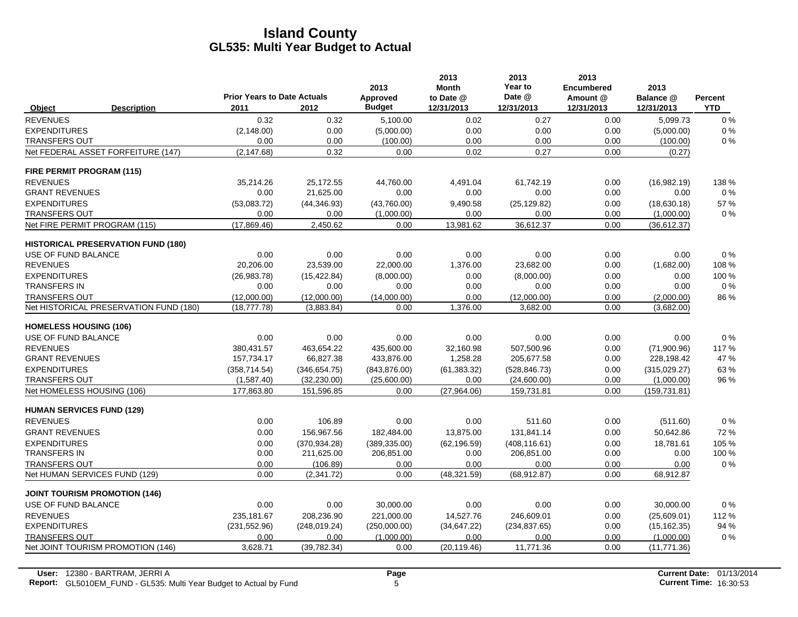|                                      |                                           |                                            |               | 2013                      | 2013<br><b>Month</b>    | 2013<br>Year to      | 2013<br><b>Encumbered</b> | 2013                    |                       |
|--------------------------------------|-------------------------------------------|--------------------------------------------|---------------|---------------------------|-------------------------|----------------------|---------------------------|-------------------------|-----------------------|
| Object                               | <b>Description</b>                        | <b>Prior Years to Date Actuals</b><br>2011 | 2012          | Approved<br><b>Budget</b> | to Date @<br>12/31/2013 | Date @<br>12/31/2013 | Amount @<br>12/31/2013    | Balance @<br>12/31/2013 | Percent<br><b>YTD</b> |
| <b>REVENUES</b>                      |                                           | 0.32                                       | 0.32          | 5,100.00                  | 0.02                    | 0.27                 | 0.00                      | 5,099.73                | $0\%$                 |
| <b>EXPENDITURES</b>                  |                                           | (2, 148.00)                                | 0.00          | (5,000.00)                | 0.00                    | 0.00                 | 0.00                      | (5,000.00)              | 0%                    |
| TRANSFERS OUT                        |                                           | 0.00                                       | 0.00          | (100.00)                  | 0.00                    | 0.00                 | 0.00                      | (100.00)                | $0\%$                 |
|                                      | Net FEDERAL ASSET FORFEITURE (147)        | (2, 147.68)                                | 0.32          | 0.00                      | 0.02                    | 0.27                 | 0.00                      | (0.27)                  |                       |
| <b>FIRE PERMIT PROGRAM (115)</b>     |                                           |                                            |               |                           |                         |                      |                           |                         |                       |
| <b>REVENUES</b>                      |                                           | 35,214.26                                  | 25,172.55     | 44,760.00                 | 4,491.04                | 61,742.19            | 0.00                      | (16,982.19)             | 138 %                 |
| <b>GRANT REVENUES</b>                |                                           | 0.00                                       | 21,625.00     | 0.00                      | 0.00                    | 0.00                 | 0.00                      | 0.00                    | $0\%$                 |
| <b>EXPENDITURES</b>                  |                                           | (53,083.72)                                | (44, 346.93)  | (43,760.00)               | 9,490.58                | (25, 129.82)         | 0.00                      | (18,630.18)             | 57 %                  |
| <b>TRANSFERS OUT</b>                 |                                           | 0.00                                       | 0.00          | (1,000.00)                | 0.00                    | 0.00                 | 0.00                      | (1,000.00)              | $0\%$                 |
| Net FIRE PERMIT PROGRAM (115)        |                                           | (17,869.46)                                | 2,450.62      | 0.00                      | 13,981.62               | 36,612.37            | 0.00                      | (36,612.37)             |                       |
|                                      | <b>HISTORICAL PRESERVATION FUND (180)</b> |                                            |               |                           |                         |                      |                           |                         |                       |
| USE OF FUND BALANCE                  |                                           | 0.00                                       | 0.00          | 0.00                      | 0.00                    | 0.00                 | 0.00                      | 0.00                    | $0\%$                 |
| <b>REVENUES</b>                      |                                           | 20,206.00                                  | 23,539.00     | 22,000.00                 | 1,376.00                | 23,682.00            | 0.00                      | (1,682.00)              | 108 %                 |
| <b>EXPENDITURES</b>                  |                                           | (26, 983.78)                               | (15, 422.84)  | (8,000.00)                | 0.00                    | (8,000.00)           | 0.00                      | 0.00                    | 100 %                 |
| <b>TRANSFERS IN</b>                  |                                           | 0.00                                       | 0.00          | 0.00                      | 0.00                    | 0.00                 | 0.00                      | 0.00                    | $0\%$                 |
| <b>TRANSFERS OUT</b>                 |                                           | (12,000.00)                                | (12,000.00)   | (14,000.00)               | 0.00                    | (12,000.00)          | 0.00                      | (2,000.00)              | 86 %                  |
|                                      | Net HISTORICAL PRESERVATION FUND (180)    | (18, 777.78)                               | (3,883.84)    | 0.00                      | 1,376.00                | 3,682.00             | 0.00                      | (3,682.00)              |                       |
| <b>HOMELESS HOUSING (106)</b>        |                                           |                                            |               |                           |                         |                      |                           |                         |                       |
| USE OF FUND BALANCE                  |                                           | 0.00                                       | 0.00          | 0.00                      | 0.00                    | 0.00                 | 0.00                      | 0.00                    | 0%                    |
| <b>REVENUES</b>                      |                                           | 380.431.57                                 | 463,654.22    | 435,600.00                | 32,160.98               | 507.500.96           | 0.00                      | (71,900.96)             | 117%                  |
| <b>GRANT REVENUES</b>                |                                           | 157,734.17                                 | 66,827.38     | 433,876.00                | 1,258.28                | 205,677.58           | 0.00                      | 228,198.42              | 47 %                  |
| <b>EXPENDITURES</b>                  |                                           | (358, 714.54)                              | (346, 654.75) | (843, 876.00)             | (61, 383.32)            | (528, 846.73)        | 0.00                      | (315,029.27)            | 63%                   |
| <b>TRANSFERS OUT</b>                 |                                           | (1,587.40)                                 | (32, 230.00)  | (25,600.00)               | 0.00                    | (24,600.00)          | 0.00                      | (1,000.00)              | 96 %                  |
| Net HOMELESS HOUSING (106)           |                                           | 177,863.80                                 | 151,596.85    | 0.00                      | (27,964.06)             | 159,731.81           | 0.00                      | (159, 731.81)           |                       |
| <b>HUMAN SERVICES FUND (129)</b>     |                                           |                                            |               |                           |                         |                      |                           |                         |                       |
| <b>REVENUES</b>                      |                                           | 0.00                                       | 106.89        | 0.00                      | 0.00                    | 511.60               | 0.00                      | (511.60)                | 0%                    |
| <b>GRANT REVENUES</b>                |                                           | 0.00                                       | 156,967.56    | 182,484.00                | 13,875.00               | 131,841.14           | 0.00                      | 50,642.86               | 72 %                  |
| <b>EXPENDITURES</b>                  |                                           | 0.00                                       | (370.934.28)  | (389, 335.00)             | (62, 196.59)            | (408, 116.61)        | 0.00                      | 18,781.61               | 105 %                 |
| <b>TRANSFERS IN</b>                  |                                           | 0.00                                       | 211,625.00    | 206,851.00                | 0.00                    | 206,851.00           | 0.00                      | 0.00                    | 100 %                 |
| <b>TRANSFERS OUT</b>                 |                                           | 0.00                                       | (106.89)      | 0.00                      | 0.00                    | 0.00                 | 0.00                      | 0.00                    | $0\%$                 |
| Net HUMAN SERVICES FUND (129)        |                                           | 0.00                                       | (2,341.72)    | 0.00                      | (48, 321.59)            | (68, 912.87)         | 0.00                      | 68,912.87               |                       |
| <b>JOINT TOURISM PROMOTION (146)</b> |                                           |                                            |               |                           |                         |                      |                           |                         |                       |
| USE OF FUND BALANCE                  |                                           | 0.00                                       | 0.00          | 30,000.00                 | 0.00                    | 0.00                 | 0.00                      | 30,000.00               | $0\%$                 |
| <b>REVENUES</b>                      |                                           | 235, 181.67                                | 208,236.90    | 221,000.00                | 14,527.76               | 246,609.01           | 0.00                      | (25,609.01)             | 112 %                 |
| <b>EXPENDITURES</b>                  |                                           | (231, 552.96)                              | (248, 019.24) | (250,000.00)              | (34, 647.22)            | (234, 837.65)        | 0.00                      | (15, 162.35)            | 94 %                  |
| <b>TRANSFERS OUT</b>                 |                                           | 0.00                                       | 0.00          | (1.000.00)                | 0.00                    | 0.00                 | 0.00                      | (1,000.00)              | 0%                    |
|                                      | Net JOINT TOURISM PROMOTION (146)         | 3,628.71                                   | (39, 782.34)  | 0.00                      | (20, 119.46)            | 11,771.36            | 0.00                      | (11, 771.36)            |                       |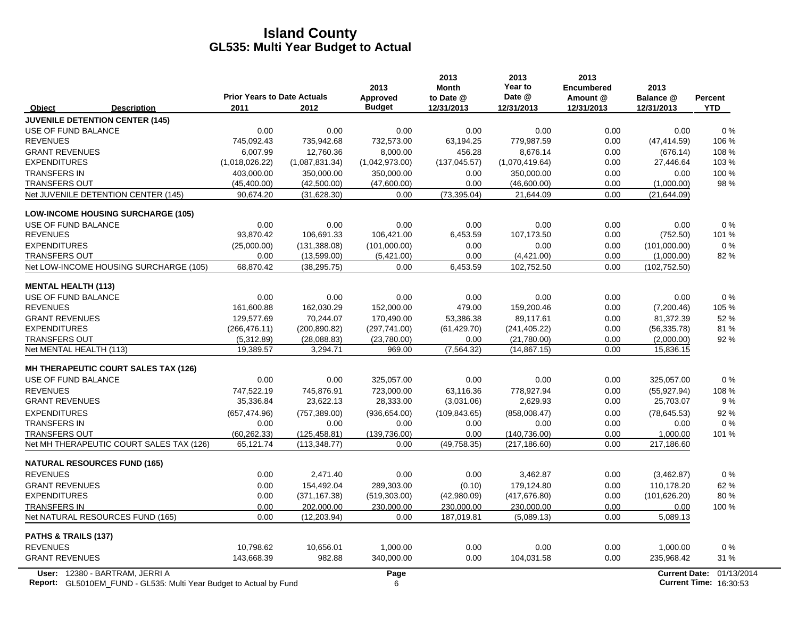|                                             | <b>Prior Years to Date Actuals</b> |                | 2013<br>Approved | 2013<br><b>Month</b><br>to Date @ | 2013<br>Year to<br>Date @ | 2013<br><b>Encumbered</b><br>Amount @ | 2013<br>Balance @    | Percent    |
|---------------------------------------------|------------------------------------|----------------|------------------|-----------------------------------|---------------------------|---------------------------------------|----------------------|------------|
| <b>Description</b><br>Object                | 2011                               | 2012           | <b>Budget</b>    | 12/31/2013                        | 12/31/2013                | 12/31/2013                            | 12/31/2013           | <b>YTD</b> |
| <b>JUVENILE DETENTION CENTER (145)</b>      |                                    |                |                  |                                   |                           |                                       |                      |            |
| USE OF FUND BALANCE                         | 0.00                               | 0.00           | 0.00             | 0.00                              | 0.00                      | 0.00                                  | 0.00                 | 0%         |
| <b>REVENUES</b>                             | 745,092.43                         | 735,942.68     | 732,573.00       | 63,194.25                         | 779,987.59                | 0.00                                  | (47, 414.59)         | 106 %      |
| <b>GRANT REVENUES</b>                       | 6,007.99                           | 12,760.36      | 8,000.00         | 456.28                            | 8,676.14                  | 0.00                                  | (676.14)             | 108 %      |
| <b>EXPENDITURES</b>                         | (1,018,026.22)                     | (1,087,831.34) | (1,042,973.00)   | (137, 045.57)                     | (1,070,419.64)            | 0.00                                  | 27,446.64            | 103 %      |
| <b>TRANSFERS IN</b>                         | 403.000.00                         | 350.000.00     | 350,000.00       | 0.00                              | 350.000.00                | 0.00                                  | 0.00                 | 100 %      |
| <b>TRANSFERS OUT</b>                        | (45, 400.00)                       | (42,500.00)    | (47,600.00)      | 0.00                              | (46,600.00)               | 0.00                                  | (1,000.00)           | 98 %       |
| Net JUVENILE DETENTION CENTER (145)         | 90,674.20                          | (31,628.30)    | 0.00             | (73, 395.04)                      | 21,644.09                 | 0.00                                  | (21, 644.09)         |            |
| <b>LOW-INCOME HOUSING SURCHARGE (105)</b>   |                                    |                |                  |                                   |                           |                                       |                      |            |
| USE OF FUND BALANCE                         | 0.00                               | 0.00           | 0.00             | 0.00                              | 0.00                      | 0.00                                  | 0.00                 | 0%         |
| <b>REVENUES</b>                             | 93,870.42                          | 106,691.33     | 106,421.00       | 6,453.59                          | 107,173.50                | 0.00                                  | (752.50)             | 101 %      |
| <b>EXPENDITURES</b>                         | (25,000.00)                        | (131, 388.08)  | (101,000.00)     | 0.00                              | 0.00                      | 0.00                                  | (101,000.00)         | 0%         |
| <b>TRANSFERS OUT</b>                        | 0.00                               | (13,599.00)    | (5,421.00)       | 0.00                              | (4,421.00)                | 0.00                                  | (1,000.00)           | 82%        |
| Net LOW-INCOME HOUSING SURCHARGE (105)      | 68,870.42                          | (38, 295.75)   | 0.00             | 6,453.59                          | 102,752.50                | 0.00                                  | (102, 752.50)        |            |
| <b>MENTAL HEALTH (113)</b>                  |                                    |                |                  |                                   |                           |                                       |                      |            |
| USE OF FUND BALANCE                         | 0.00                               | 0.00           | 0.00             | 0.00                              | 0.00                      | 0.00                                  | 0.00                 | $0\%$      |
| <b>REVENUES</b>                             | 161,600.88                         | 162,030.29     | 152,000.00       | 479.00                            | 159,200.46                | 0.00                                  | (7,200.46)           | 105 %      |
| <b>GRANT REVENUES</b>                       | 129,577.69                         | 70,244.07      | 170,490.00       | 53,386.38                         | 89,117.61                 | 0.00                                  | 81,372.39            | 52%        |
| <b>EXPENDITURES</b>                         | (266, 476.11)                      | (200, 890.82)  | (297, 741.00)    | (61, 429.70)                      | (241, 405.22)             | 0.00                                  | (56, 335.78)         | 81%        |
| <b>TRANSFERS OUT</b>                        | (5,312.89)                         | (28,088.83)    | (23,780.00)      | 0.00                              | (21,780.00)               | 0.00                                  | (2,000.00)           | 92%        |
| Net MENTAL HEALTH (113)                     | 19,389.57                          | 3,294.71       | 969.00           | (7, 564.32)                       | (14, 867.15)              | 0.00                                  | 15,836.15            |            |
| <b>MH THERAPEUTIC COURT SALES TAX (126)</b> |                                    |                |                  |                                   |                           |                                       |                      |            |
| USE OF FUND BALANCE                         | 0.00                               | 0.00           | 325,057.00       | 0.00                              | 0.00                      | 0.00                                  | 325.057.00           | $0\%$      |
| <b>REVENUES</b>                             | 747,522.19                         | 745,876.91     | 723,000.00       | 63.116.36                         | 778.927.94                | 0.00                                  | (55, 927.94)         | 108 %      |
| <b>GRANT REVENUES</b>                       | 35,336.84                          | 23,622.13      | 28,333.00        | (3,031.06)                        | 2,629.93                  | 0.00                                  | 25,703.07            | 9%         |
| <b>EXPENDITURES</b>                         | (657, 474.96)                      | (757, 389.00)  | (936, 654.00)    | (109, 843.65)                     | (858,008.47)              | 0.00                                  | (78, 645.53)         | 92%        |
| <b>TRANSFERS IN</b>                         | 0.00                               | 0.00           | 0.00             | 0.00                              | 0.00                      | 0.00                                  | 0.00                 | 0%         |
| <b>TRANSFERS OUT</b>                        | (60.262.33)                        | (125, 458.81)  | (139.736.00)     | 0.00                              | (140, 736.00)             | 0.00                                  | 1,000.00             | 101 %      |
| Net MH THERAPEUTIC COURT SALES TAX (126)    | 65,121.74                          | (113, 348.77)  | 0.00             | (49, 758.35)                      | (217, 186.60)             | 0.00                                  | 217,186.60           |            |
| <b>NATURAL RESOURCES FUND (165)</b>         |                                    |                |                  |                                   |                           |                                       |                      |            |
| <b>REVENUES</b>                             | 0.00                               | 2,471.40       | 0.00             | 0.00                              | 3,462.87                  | 0.00                                  | (3,462.87)           | 0%         |
| <b>GRANT REVENUES</b>                       | 0.00                               | 154,492.04     | 289,303.00       | (0.10)                            | 179,124.80                | 0.00                                  | 110,178.20           | 62 %       |
| <b>EXPENDITURES</b>                         | 0.00                               | (371, 167.38)  | (519, 303.00)    | (42,980.09)                       | (417, 676.80)             | 0.00                                  | (101, 626.20)        | 80%        |
| <b>TRANSFERS IN</b>                         | 0.00<br>0.00                       | 202,000.00     | 230,000.00       | 230,000.00                        | 230,000.00                | 0.00<br>0.00                          | 0.00                 | 100 %      |
| Net NATURAL RESOURCES FUND (165)            |                                    | (12, 203.94)   | 0.00             | 187,019.81                        | (5,089.13)                |                                       | 5,089.13             |            |
| PATHS & TRAILS (137)                        |                                    |                |                  |                                   |                           |                                       |                      |            |
| <b>REVENUES</b>                             | 10,798.62                          | 10,656.01      | 1,000.00         | 0.00                              | 0.00                      | 0.00                                  | 1,000.00             | 0%         |
| <b>GRANT REVENUES</b>                       | 143,668.39                         | 982.88         | 340,000.00       | 0.00                              | 104,031.58                | 0.00                                  | 235,968.42           | 31 %       |
| User: 12380 - BARTRAM, JERRI A              |                                    |                | Page             |                                   |                           |                                       | <b>Current Date:</b> | 01/13/2014 |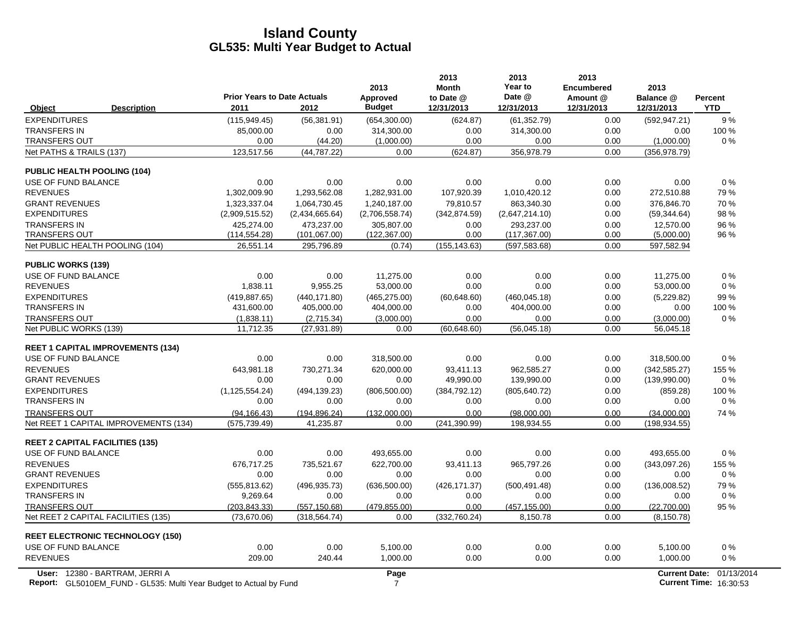|                                                                                                             | <b>Prior Years to Date Actuals</b> |                | 2013<br>Approved       | 2013<br><b>Month</b><br>to Date @ | 2013<br>Year to<br>Date @ | 2013<br>Encumbered<br>Amount @ | 2013<br>Balance @ | Percent                                            |
|-------------------------------------------------------------------------------------------------------------|------------------------------------|----------------|------------------------|-----------------------------------|---------------------------|--------------------------------|-------------------|----------------------------------------------------|
| <b>Description</b><br>Object                                                                                | 2011                               | 2012           | <b>Budget</b>          | 12/31/2013                        | 12/31/2013                | 12/31/2013                     | 12/31/2013        | <b>YTD</b>                                         |
| <b>EXPENDITURES</b>                                                                                         | (115, 949.45)                      | (56, 381.91)   | (654,300.00)           | (624.87)                          | (61, 352.79)              | 0.00                           | (592, 947.21)     | 9%                                                 |
| <b>TRANSFERS IN</b>                                                                                         | 85,000.00                          | 0.00           | 314,300.00             | 0.00                              | 314,300.00                | 0.00                           | 0.00              | 100 %                                              |
| <b>TRANSFERS OUT</b>                                                                                        | 0.00                               | (44.20)        | (1,000.00)             | 0.00                              | 0.00                      | 0.00                           | (1,000.00)        | $0\%$                                              |
| Net PATHS & TRAILS (137)                                                                                    | 123,517.56                         | (44, 787.22)   | 0.00                   | (624.87)                          | 356,978.79                | 0.00                           | (356, 978.79)     |                                                    |
| <b>PUBLIC HEALTH POOLING (104)</b>                                                                          |                                    |                |                        |                                   |                           |                                |                   |                                                    |
| USE OF FUND BALANCE                                                                                         | 0.00                               | 0.00           | 0.00                   | 0.00                              | 0.00                      | 0.00                           | 0.00              | $0\%$                                              |
| <b>REVENUES</b>                                                                                             | 1,302,009.90                       | 1,293,562.08   | 1,282,931.00           | 107,920.39                        | 1,010,420.12              | 0.00                           | 272,510.88        | 79 %                                               |
| <b>GRANT REVENUES</b>                                                                                       | 1,323,337.04                       | 1,064,730.45   | 1,240,187.00           | 79,810.57                         | 863,340.30                | 0.00                           | 376,846.70        | 70 %                                               |
| <b>EXPENDITURES</b>                                                                                         | (2,909,515.52)                     | (2,434,665.64) | (2,706,558.74)         | (342, 874.59)                     | (2,647,214.10)            | 0.00                           | (59, 344.64)      | 98%                                                |
| <b>TRANSFERS IN</b>                                                                                         | 425,274.00                         | 473,237.00     | 305,807.00             | 0.00                              | 293,237.00                | 0.00                           | 12,570.00         | 96 %                                               |
| <b>TRANSFERS OUT</b>                                                                                        | (114, 554.28)                      | (101,067.00)   | (122, 367.00)          | 0.00                              | (117, 367.00)             | 0.00                           | (5,000.00)        | 96 %                                               |
| Net PUBLIC HEALTH POOLING (104)                                                                             | 26,551.14                          | 295,796.89     | (0.74)                 | (155, 143.63)                     | (597, 583.68)             | 0.00                           | 597,582.94        |                                                    |
| <b>PUBLIC WORKS (139)</b>                                                                                   |                                    |                |                        |                                   |                           |                                |                   |                                                    |
| USE OF FUND BALANCE                                                                                         | 0.00                               | 0.00           | 11,275.00              | 0.00                              | 0.00                      | 0.00                           | 11,275.00         | $0\%$                                              |
| <b>REVENUES</b>                                                                                             | 1,838.11                           | 9,955.25       | 53,000.00              | 0.00                              | 0.00                      | 0.00                           | 53,000.00         | $0\%$                                              |
| <b>EXPENDITURES</b>                                                                                         | (419, 887.65)                      | (440, 171.80)  | (465, 275.00)          | (60, 648.60)                      | (460, 045.18)             | 0.00                           | (5,229.82)        | 99 %                                               |
| <b>TRANSFERS IN</b>                                                                                         | 431,600.00                         | 405,000.00     | 404,000.00             | 0.00                              | 404,000.00                | 0.00                           | 0.00              | 100 %                                              |
| <b>TRANSFERS OUT</b>                                                                                        | (1,838.11)                         | (2,715.34)     | (3,000.00)             | 0.00                              | 0.00                      | 0.00                           | (3,000.00)        | $0\%$                                              |
| Net PUBLIC WORKS (139)                                                                                      | 11,712.35                          | (27, 931.89)   | 0.00                   | (60, 648.60)                      | (56,045.18)               | 0.00                           | 56,045.18         |                                                    |
| <b>REET 1 CAPITAL IMPROVEMENTS (134)</b>                                                                    |                                    |                |                        |                                   |                           |                                |                   |                                                    |
| USE OF FUND BALANCE                                                                                         | 0.00                               | 0.00           | 318,500.00             | 0.00                              | 0.00                      | 0.00                           | 318,500.00        | 0%                                                 |
| <b>REVENUES</b>                                                                                             | 643,981.18                         | 730,271.34     | 620,000.00             | 93,411.13                         | 962,585.27                | 0.00                           | (342, 585.27)     | 155 %                                              |
| <b>GRANT REVENUES</b>                                                                                       | 0.00                               | 0.00           | 0.00                   | 49,990.00                         | 139,990.00                | 0.00                           | (139,990.00)      | $0\%$                                              |
| <b>EXPENDITURES</b>                                                                                         | (1, 125, 554.24)                   | (494, 139.23)  | (806, 500.00)          | (384, 792.12)                     | (805, 640.72)             | 0.00                           | (859.28)          | 100 %                                              |
| <b>TRANSFERS IN</b>                                                                                         | 0.00                               | 0.00           | 0.00                   | 0.00                              | 0.00                      | 0.00                           | 0.00              | $0\%$                                              |
| <b>TRANSFERS OUT</b>                                                                                        | (94, 166.43)                       | (194, 896.24)  | (132.000.00)           | 0.00                              | (98.000.00)               | 0.00                           | (34.000.00)       | 74 %                                               |
| Net REET 1 CAPITAL IMPROVEMENTS (134)                                                                       | (575, 739.49)                      | 41,235.87      | 0.00                   | (241, 390.99)                     | 198,934.55                | 0.00                           | (198, 934.55)     |                                                    |
| <b>REET 2 CAPITAL FACILITIES (135)</b>                                                                      |                                    |                |                        |                                   |                           |                                |                   |                                                    |
| USE OF FUND BALANCE                                                                                         | 0.00                               | 0.00           | 493,655.00             | 0.00                              | 0.00                      | 0.00                           | 493,655.00        | 0%                                                 |
| <b>REVENUES</b>                                                                                             | 676,717.25                         | 735,521.67     | 622,700.00             | 93,411.13                         | 965,797.26                | 0.00                           | (343,097.26)      | 155 %                                              |
| <b>GRANT REVENUES</b>                                                                                       | 0.00                               | 0.00           | 0.00                   | 0.00                              | 0.00                      | 0.00                           | 0.00              | $0\%$                                              |
| <b>EXPENDITURES</b>                                                                                         | (555, 813.62)                      | (496, 935.73)  | (636, 500.00)          | (426, 171.37)                     | (500, 491.48)             | 0.00                           | (136,008.52)      | 79 %                                               |
| <b>TRANSFERS IN</b>                                                                                         | 9,269.64                           | 0.00           | 0.00                   | 0.00                              | 0.00                      | 0.00                           | 0.00              | $0\%$                                              |
| <b>TRANSFERS OUT</b>                                                                                        | (203, 843.33)                      | (557, 150.68)  | (479.855.00)           | 0.00                              | (457, 155.00)             | 0.00                           | (22,700.00)       | 95 %                                               |
| Net REET 2 CAPITAL FACILITIES (135)                                                                         | (73,670.06)                        | (318, 564.74)  | 0.00                   | (332,760.24)                      | 8,150.78                  | 0.00                           | (8, 150.78)       |                                                    |
| <b>REET ELECTRONIC TECHNOLOGY (150)</b>                                                                     |                                    |                |                        |                                   |                           |                                |                   |                                                    |
| USE OF FUND BALANCE                                                                                         | 0.00                               | 0.00           | 5,100.00               | 0.00                              | 0.00                      | 0.00                           | 5,100.00          | $0\%$                                              |
| <b>REVENUES</b>                                                                                             | 209.00                             | 240.44         | 1,000.00               | 0.00                              | 0.00                      | 0.00                           | 1,000.00          | 0%                                                 |
| User: 12380 - BARTRAM, JERRI A<br><b>Report:</b> GL5010EM FUND - GL535: Multi Year Budget to Actual by Fund |                                    |                | Page<br>$\overline{7}$ |                                   |                           |                                |                   | Current Date: 01/13/2014<br>Current Time: 16:30:53 |

**Report:** GL5010EM\_FUND - GL535: Multi Year Budget to Actual by Fund 16:30:539:53 7 1 16:30:53 1 16:30:53 1 16:30:53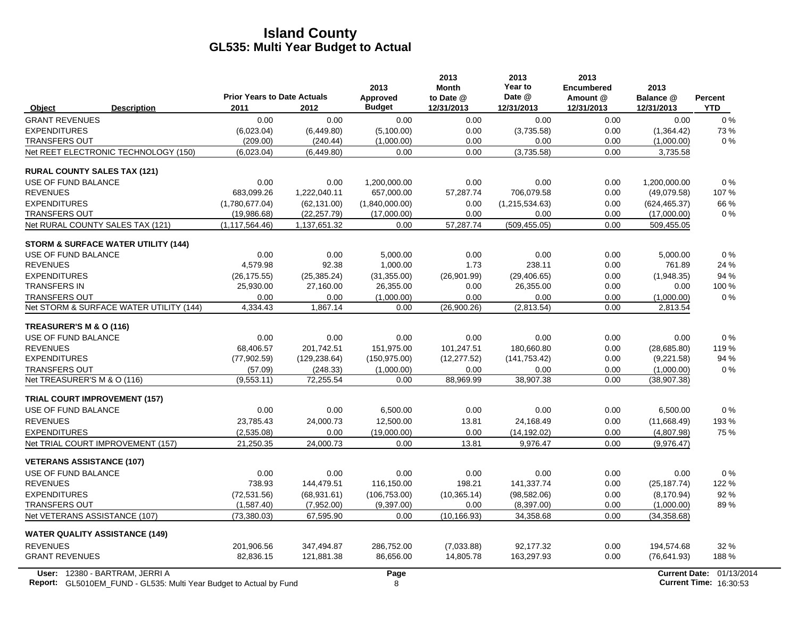|                                                                           | <b>Prior Years to Date Actuals</b> |               | 2013<br>Approved | 2013<br><b>Month</b><br>to Date @ | 2013<br>Year to<br>Date @ | 2013<br><b>Encumbered</b><br>Amount @ | 2013<br>Balance @ | <b>Percent</b>                |
|---------------------------------------------------------------------------|------------------------------------|---------------|------------------|-----------------------------------|---------------------------|---------------------------------------|-------------------|-------------------------------|
| Object<br><b>Description</b>                                              | 2011                               | 2012          | <b>Budget</b>    | 12/31/2013                        | 12/31/2013                | 12/31/2013                            | 12/31/2013        | <b>YTD</b>                    |
| <b>GRANT REVENUES</b>                                                     | 0.00                               | 0.00          | 0.00             | 0.00                              | 0.00                      | 0.00                                  | 0.00              | $0\%$                         |
| <b>EXPENDITURES</b>                                                       | (6,023.04)                         | (6,449.80)    | (5,100.00)       | 0.00                              | (3,735.58)                | 0.00                                  | (1,364.42)        | 73%                           |
| <b>TRANSFERS OUT</b>                                                      | (209.00)                           | (240.44)      | (1,000.00)       | 0.00                              | 0.00                      | 0.00                                  | (1,000.00)        | $0\%$                         |
| Net REET ELECTRONIC TECHNOLOGY (150)                                      | (6,023.04)                         | (6,449.80)    | 0.00             | 0.00                              | (3,735.58)                | 0.00                                  | 3,735.58          |                               |
| <b>RURAL COUNTY SALES TAX (121)</b>                                       |                                    |               |                  |                                   |                           |                                       |                   |                               |
| USE OF FUND BALANCE                                                       | 0.00                               | 0.00          | 1.200.000.00     | 0.00                              | 0.00                      | 0.00                                  | 1.200.000.00      | 0%                            |
| <b>REVENUES</b>                                                           | 683,099.26                         | 1,222,040.11  | 657,000.00       | 57,287.74                         | 706,079.58                | 0.00                                  | (49,079.58)       | 107%                          |
| <b>EXPENDITURES</b>                                                       | (1,780,677.04)                     | (62, 131.00)  | (1,840,000.00)   | 0.00                              | (1,215,534.63)            | 0.00                                  | (624, 465.37)     | 66 %                          |
| <b>TRANSFERS OUT</b>                                                      | (19,986.68)                        | (22, 257.79)  | (17,000.00)      | 0.00                              | 0.00                      | 0.00                                  | (17,000.00)       | $0\%$                         |
| Net RURAL COUNTY SALES TAX (121)                                          | (1, 117, 564.46)                   | 1,137,651.32  | 0.00             | 57,287.74                         | (509, 455.05)             | 0.00                                  | 509,455.05        |                               |
| <b>STORM &amp; SURFACE WATER UTILITY (144)</b>                            |                                    |               |                  |                                   |                           |                                       |                   |                               |
| USE OF FUND BALANCE                                                       | 0.00                               | 0.00          | 5.000.00         | 0.00                              | 0.00                      | 0.00                                  | 5,000.00          | $0\%$                         |
| <b>REVENUES</b>                                                           | 4,579.98                           | 92.38         | 1,000.00         | 1.73                              | 238.11                    | 0.00                                  | 761.89            | 24 %                          |
| <b>EXPENDITURES</b>                                                       | (26, 175.55)                       | (25, 385.24)  | (31, 355.00)     | (26,901.99)                       | (29, 406.65)              | 0.00                                  | (1,948.35)        | 94 %                          |
| <b>TRANSFERS IN</b>                                                       | 25,930.00                          | 27,160.00     | 26,355.00        | 0.00                              | 26,355.00                 | 0.00                                  | 0.00              | 100 %                         |
| <b>TRANSFERS OUT</b>                                                      | 0.00                               | 0.00          | (1,000.00)       | 0.00                              | 0.00                      | 0.00                                  | (1,000.00)        | 0%                            |
| Net STORM & SURFACE WATER UTILITY (144)                                   | 4,334.43                           | 1,867.14      | 0.00             | (26,900.26)                       | (2,813.54)                | 0.00                                  | 2,813.54          |                               |
| TREASURER'S M & O (116)                                                   |                                    |               |                  |                                   |                           |                                       |                   |                               |
| USE OF FUND BALANCE                                                       | 0.00                               | 0.00          | 0.00             | 0.00                              | 0.00                      | 0.00                                  | 0.00              | 0%                            |
| <b>REVENUES</b>                                                           | 68,406.57                          | 201.742.51    | 151,975.00       | 101,247.51                        | 180,660.80                | 0.00                                  | (28,685.80)       | 119 %                         |
| <b>EXPENDITURES</b>                                                       | (77,902.59)                        | (129, 238.64) | (150, 975.00)    | (12, 277.52)                      | (141, 753.42)             | 0.00                                  | (9,221.58)        | 94 %                          |
| <b>TRANSFERS OUT</b>                                                      | (57.09)                            | (248.33)      | (1,000.00)       | 0.00                              | 0.00                      | 0.00                                  | (1,000.00)        | $0\%$                         |
| Net TREASURER'S M & O (116)                                               | (9,553.11)                         | 72,255.54     | 0.00             | 88,969.99                         | 38,907.38                 | 0.00                                  | (38,907.38)       |                               |
| <b>TRIAL COURT IMPROVEMENT (157)</b>                                      |                                    |               |                  |                                   |                           |                                       |                   |                               |
| USE OF FUND BALANCE                                                       | 0.00                               | 0.00          | 6,500.00         | 0.00                              | 0.00                      | 0.00                                  | 6,500.00          | 0%                            |
| <b>REVENUES</b>                                                           | 23.785.43                          | 24,000.73     | 12.500.00        | 13.81                             | 24.168.49                 | 0.00                                  | (11,668.49)       | 193%                          |
| <b>EXPENDITURES</b>                                                       | (2,535.08)                         | 0.00          | (19,000.00)      | 0.00                              | (14, 192.02)              | 0.00                                  | (4,807.98)        | 75 %                          |
| Net TRIAL COURT IMPROVEMENT (157)                                         | 21,250.35                          | 24,000.73     | 0.00             | 13.81                             | 9,976.47                  | 0.00                                  | (9,976.47)        |                               |
| <b>VETERANS ASSISTANCE (107)</b>                                          |                                    |               |                  |                                   |                           |                                       |                   |                               |
| USE OF FUND BALANCE                                                       | 0.00                               | 0.00          | 0.00             | 0.00                              | 0.00                      | 0.00                                  | 0.00              | 0%                            |
| <b>REVENUES</b>                                                           | 738.93                             | 144,479.51    | 116,150.00       | 198.21                            | 141,337.74                | 0.00                                  | (25, 187.74)      | 122 %                         |
| <b>EXPENDITURES</b>                                                       | (72, 531.56)                       | (68,931.61)   | (106, 753.00)    | (10, 365.14)                      | (98, 582.06)              | 0.00                                  | (8, 170.94)       | 92 %                          |
| <b>TRANSFERS OUT</b>                                                      | (1,587.40)                         | (7,952.00)    | (9,397.00)       | 0.00                              | (8,397.00)                | 0.00                                  | (1,000.00)        | 89%                           |
| Net VETERANS ASSISTANCE (107)                                             | (73, 380.03)                       | 67,595.90     | 0.00             | (10, 166.93)                      | 34,358.68                 | 0.00                                  | (34, 358.68)      |                               |
| <b>WATER QUALITY ASSISTANCE (149)</b>                                     |                                    |               |                  |                                   |                           |                                       |                   |                               |
| <b>REVENUES</b>                                                           | 201,906.56                         | 347,494.87    | 286,752.00       | (7,033.88)                        | 92,177.32                 | 0.00                                  | 194,574.68        | 32 %                          |
| <b>GRANT REVENUES</b>                                                     | 82,836.15                          | 121,881.38    | 86,656.00        | 14,805.78                         | 163,297.93                | 0.00                                  | (76, 641.93)      | 188%                          |
| User: 12380 - BARTRAM, JERRI A                                            |                                    |               | Page             |                                   |                           |                                       |                   | Current Date: 01/13/2014      |
| <b>Report:</b> GL5010EM_FUND - GL535: Multi Year Budget to Actual by Fund |                                    |               | 8                |                                   |                           |                                       |                   | <b>Current Time: 16:30:53</b> |

 $\overline{\phantom{a}}$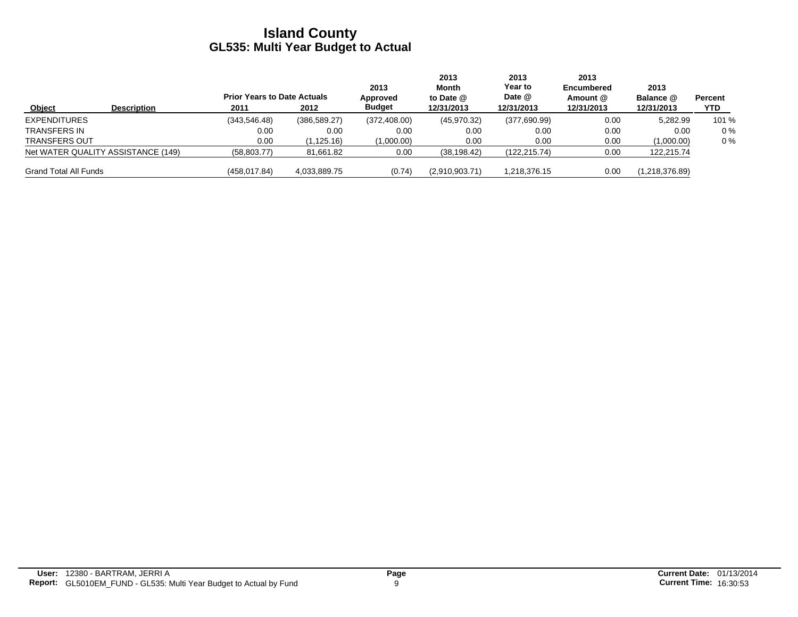|                              |                                    | <b>Prior Years to Date Actuals</b> |               | 2013<br>Approved | 2013<br>Month<br>to Date $@$ | 2013<br>Year to<br>Date @ | 2013<br><b>Encumbered</b><br>Amount @ | 2013<br>Balance @ | Percent |
|------------------------------|------------------------------------|------------------------------------|---------------|------------------|------------------------------|---------------------------|---------------------------------------|-------------------|---------|
| Object                       | <b>Description</b>                 | 2011                               | 2012          | <b>Budget</b>    | 12/31/2013                   | 12/31/2013                | 12/31/2013                            | 12/31/2013        | YTD.    |
| <b>EXPENDITURES</b>          |                                    | (343.546.48)                       | (386, 589.27) | (372, 408.00)    | (45,970.32)                  | (377,690.99)              | 0.00                                  | 5,282.99          | 101 %   |
| TRANSFERS IN                 |                                    | 0.00                               | 0.00          | 0.00             | 0.00                         | 0.00                      | 0.00                                  | 0.00              | $0\%$   |
| <b>TRANSFERS OUT</b>         |                                    | 0.00                               | (1,125.16)    | (1,000.00)       | 0.00                         | 0.00                      | 0.00                                  | (1,000.00)        | $0\%$   |
|                              | Net WATER QUALITY ASSISTANCE (149) | (58, 803.77)                       | 81,661.82     | 0.00             | (38, 198.42)                 | (122, 215.74)             | 0.00                                  | 122,215.74        |         |
| <b>Grand Total All Funds</b> |                                    | (458, 017.84)                      | 4,033,889.75  | (0.74)           | (2,910,903.71)               | 1.218.376.15              | 0.00                                  | (1,218,376.89)    |         |